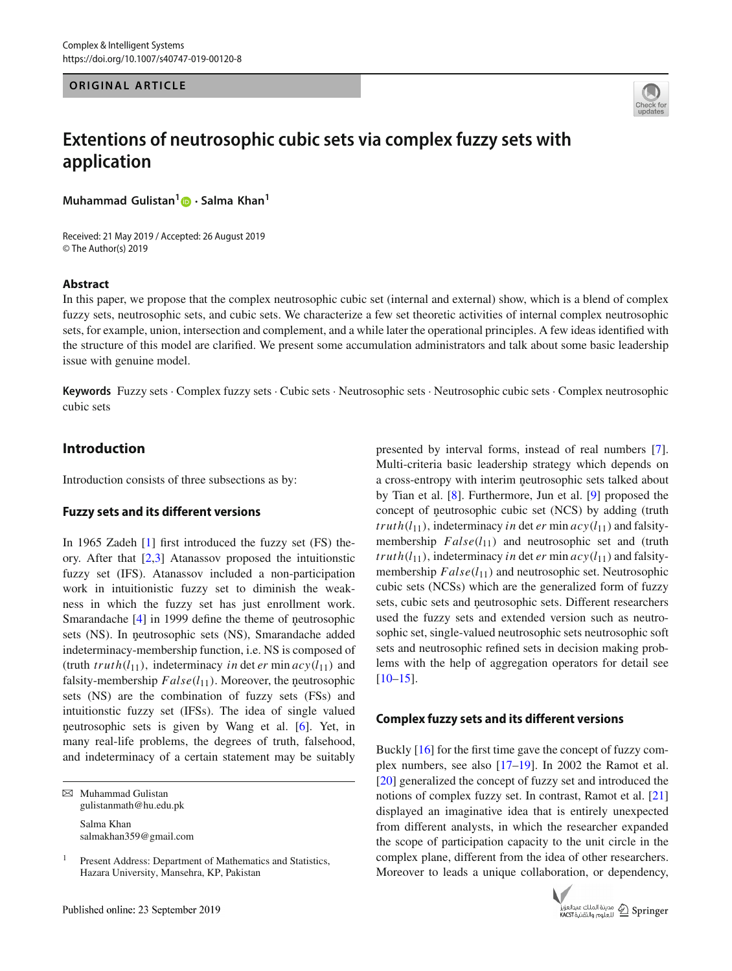#### **ORIGINAL ARTICLE**



# **Extentions of neutrosophic cubic sets via complex fuzzy sets with application**

**Muhammad Gulistan[1](http://orcid.org/0000-0002-6438-1047) · Salma Khan<sup>1</sup>**

Received: 21 May 2019 / Accepted: 26 August 2019 © The Author(s) 2019

#### **Abstract**

In this paper, we propose that the complex neutrosophic cubic set (internal and external) show, which is a blend of complex fuzzy sets, neutrosophic sets, and cubic sets. We characterize a few set theoretic activities of internal complex neutrosophic sets, for example, union, intersection and complement, and a while later the operational principles. A few ideas identified with the structure of this model are clarified. We present some accumulation administrators and talk about some basic leadership issue with genuine model.

**Keywords** Fuzzy sets · Complex fuzzy sets · Cubic sets · Neutrosophic sets · Neutrosophic cubic sets · Complex neutrosophic cubic sets

# **Introduction**

Introduction consists of three subsections as by:

# **Fuzzy sets and its different versions**

In 1965 Zadeh [\[1](#page-10-0)] first introduced the fuzzy set (FS) theory. After that [\[2](#page-10-1)[,3\]](#page-10-2) Atanassov proposed the intuitionstic fuzzy set (IFS). Atanassov included a non-participation work in intuitionistic fuzzy set to diminish the weakness in which the fuzzy set has just enrollment work. Smarandache  $[4]$  $[4]$  in 1999 define the theme of neutrosophic sets (NS). In neutrosophic sets (NS), Smarandache added indeterminacy-membership function, i.e. NS is composed of (truth  $truth(l_{11})$ , indeterminacy *in* det *er* min  $acy(l_{11})$  and falsity-membership  $False(l_{11})$ . Moreover, the neutrosophic sets (NS) are the combination of fuzzy sets (FSs) and intuitionstic fuzzy set (IFSs). The idea of single valued neutrosophic sets is given by Wang et al. [[6\]](#page-10-4). Yet, in many real-life problems, the degrees of truth, falsehood, and indeterminacy of a certain statement may be suitably

 $\boxtimes$  Muhammad Gulistan gulistanmath@hu.edu.pk Salma Khan

salmakhan359@gmail.com

presented by interval forms, instead of real numbers [\[7](#page-11-0)]. Multi-criteria basic leadership strategy which depends on a cross-entropy with interim neutrosophic sets talked about by Tian et al. [\[8](#page-11-1)]. Furthermore, Jun et al. [\[9\]](#page-11-2) proposed the concept of neutrosophic cubic set (NCS) by adding (truth *truth*( $l_{11}$ ), indeterminacy *in* det *er* min  $acy(l_{11})$  and falsitymembership  $False(l_{11})$  and neutrosophic set and (truth *truth*( $l_{11}$ ), indeterminacy *in* det *er* min  $acy(l_{11})$  and falsitymembership  $False(l_{11})$  and neutrosophic set. Neutrosophic cubic sets (NCSs) which are the generalized form of fuzzy sets, cubic sets and neutrosophic sets. Different researchers used the fuzzy sets and extended version such as neutrosophic set, single-valued neutrosophic sets neutrosophic soft sets and neutrosophic refined sets in decision making problems with the help of aggregation operators for detail see  $[10-15]$  $[10-15]$ .

#### **Complex fuzzy sets and its different versions**

Buckly [\[16](#page-11-5)] for the first time gave the concept of fuzzy complex numbers, see also [\[17](#page-11-6)[–19](#page-11-7)]. In 2002 the Ramot et al. [\[20](#page-11-8)] generalized the concept of fuzzy set and introduced the notions of complex fuzzy set. In contrast, Ramot et al. [\[21\]](#page-11-9) displayed an imaginative idea that is entirely unexpected from different analysts, in which the researcher expanded the scope of participation capacity to the unit circle in the complex plane, different from the idea of other researchers. Moreover to leads a unique collaboration, or dependency,



<sup>&</sup>lt;sup>1</sup> Present Address: Department of Mathematics and Statistics, Hazara University, Mansehra, KP, Pakistan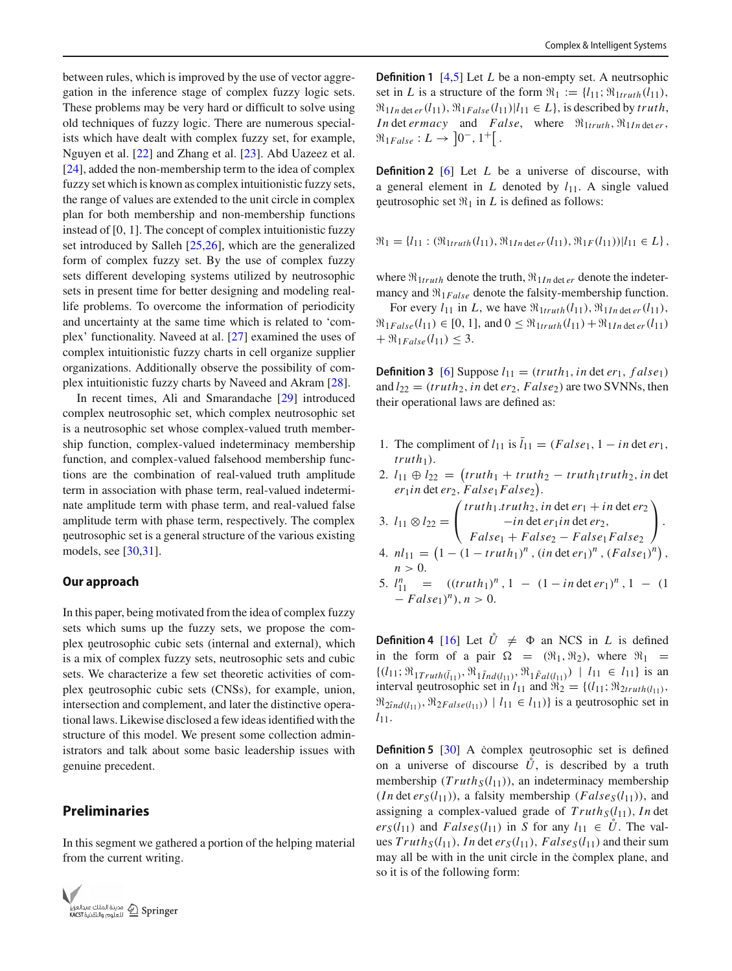between rules, which is improved by the use of vector aggregation in the inference stage of complex fuzzy logic sets. These problems may be very hard or difficult to solve using old techniques of fuzzy logic. There are numerous specialists which have dealt with complex fuzzy set, for example, Nguyen et al. [\[22](#page-11-10)] and Zhang et al. [\[23\]](#page-11-11). Abd Uazeez et al. [\[24](#page-11-12)], added the non-membership term to the idea of complex fuzzy set which is known as complex intuitionistic fuzzy sets, the range of values are extended to the unit circle in complex plan for both membership and non-membership functions instead of [0, 1]. The concept of complex intuitionistic fuzzy set introduced by Salleh [\[25](#page-11-13)[,26](#page-11-14)], which are the generalized form of complex fuzzy set. By the use of complex fuzzy sets different developing systems utilized by neutrosophic sets in present time for better designing and modeling reallife problems. To overcome the information of periodicity and uncertainty at the same time which is related to 'complex' functionality. Naveed at al. [\[27](#page-11-15)] examined the uses of complex intuitionistic fuzzy charts in cell organize supplier organizations. Additionally observe the possibility of complex intuitionistic fuzzy charts by Naveed and Akram [\[28\]](#page-11-16).

In recent times, Ali and Smarandache [\[29\]](#page-11-17) introduced complex neutrosophic set, which complex neutrosophic set is a neutrosophic set whose complex-valued truth membership function, complex-valued indeterminacy membership function, and complex-valued falsehood membership functions are the combination of real-valued truth amplitude term in association with phase term, real-valued indeterminate amplitude term with phase term, and real-valued false amplitude term with phase term, respectively. The complex neutrosophic set is a general structure of the various existing models, see [\[30](#page-11-18)[,31\]](#page-11-19).

#### **Our approach**

In this paper, being motivated from the idea of complex fuzzy sets which sums up the fuzzy sets, we propose the complex neutrosophic cubic sets (internal and external), which is a mix of complex fuzzy sets, neutrosophic sets and cubic sets. We characterize a few set theoretic activities of complex neutrosophic cubic sets (CNSs), for example, union, intersection and complement, and later the distinctive operational laws. Likewise disclosed a few ideas identified with the structure of this model. We present some collection administrators and talk about some basic leadership issues with genuine precedent.

# **Preliminaries**

In this segment we gathered a portion of the helping material from the current writing.



**Definition 1** [\[4](#page-10-3)[,5\]](#page-10-5) Let *L* be a non-empty set. A neutrsophic set in *L* is a structure of the form  $\mathfrak{R}_1 := \{l_{11}; \mathfrak{R}_{1truth}(l_{11}),\}$  $\mathfrak{R}_{1In \text{ det } er}(l_{11}), \mathfrak{R}_{1False}(l_{11})|l_{11} \in L$ , is described by *truth*, *In* det *ermacy* and *False*, where  $\Re_{1truth}$ ,  $\Re_{1In\det er}$ ,  $\Re_{1False}: L \to [0^-, 1^+]$ .

**Definition 2** [\[6](#page-10-4)] Let *L* be a universe of discourse, with a general element in  $L$  denoted by  $l_{11}$ . A single valued neutrosophic set  $\Re_1$  in *L* is defined as follows:

$$
\mathfrak{R}_1 = \{l_{11} : (\mathfrak{R}_{1truth}(l_{11}), \mathfrak{R}_{1In \det er}(l_{11}), \mathfrak{R}_{1F}(l_{11})) | l_{11} \in L \},
$$

where  $\Re_{1truth}$  denote the truth,  $\Re_{1In\det er}$  denote the indetermancy and  $\Re_{1False}$  denote the falsity-membership function.

For every  $l_{11}$  in *L*, we have  $\Re_{1truth}(l_{11}), \Re_{1In \det er}(l_{11}),$  $\mathfrak{R}_{1False}(l_{11}) \in [0, 1]$ , and  $0 \leq \mathfrak{R}_{1truth}(l_{11}) + \mathfrak{R}_{1In \text{ det } er}(l_{11})$  $+ \Re_{1False}(l_{11}) \leq 3.$ 

**Definition 3** [\[6](#page-10-4)] Suppose  $l_{11} = (truth_1, in \det er_1, false_1)$ and  $l_{22} = (truth_2, in \det er_2, False_2)$  are two SVNNs, then their operational laws are defined as:

- 1. The compliment of  $l_{11}$  is  $\overline{l}_{11} = (False_1, 1 in \det er_1,$  $truth_1$ ).
- 2.  $l_{11} \oplus l_{22} = (truth_1 + truth_2 truth_1truth_2, in \text{det})$  $er_1$ *in* det  $er_2$ ,  $False_1False_2$ .

3. 
$$
l_{11} \otimes l_{22} = \begin{pmatrix} truth_1.truth_2, in \det er_1 + in \det er_2 \\ -in \det er_1 in \det er_2, \\ False_1 + False_2 - False_1 False_2 \end{pmatrix}
$$
.  
4.  $nl_{11} = (1 - (1 - truth_1)^n, (in \det er_1)^n, (False_1)^n)$ ,

 $n > 0$ . 5.  $l_{11}^n = ((truth_1)^n, 1 - (1 - in \det er_1)^n, 1 - (1 - in \det er_1)^n)$  $-False<sub>1</sub>)<sup>n</sup>$ ,  $n > 0$ .

**Definition 4** [\[16](#page-11-5)] Let  $\hat{U} \neq \Phi$  an NCS in *L* is defined in the form of a pair  $\Omega = (\Re_1, \Re_2)$ , where  $\Re_1$  =  $\{(l_{11}; \mathfrak{R}_{1Truth(\bar{l}_{11})}, \mathfrak{R}_{1\tilde{I}nd(l_{11})}, \mathfrak{R}_{1\tilde{F}al(l_{11})}) \mid l_{11} \in l_{11}\}\$ is an interval neutrosophic set in  $l_{11}$  and  $\Re_2 = \{(l_{11}; \Re_{2truth(l_{11})},$  $\Re_{2ind(l_{11})}, \Re_{2False(l_{11})}) \mid l_{11} \in l_{11}$ ) is a neutrosophic set in  $l_{11}$ .

**Definition 5** [\[30](#page-11-18)] A complex neutrosophic set is defined on a universe of discourse  $\hat{U}$ , is described by a truth membership  $(Truth_S(l_{11}))$ , an indeterminacy membership (*In* det  $er_S(l_{11})$ ), a falsity membership ( $False_S(l_{11})$ ), and assigning a complex-valued grade of  $Truth_S(l_{11})$ , *In* det  $er_S(l_{11})$  and  $False_S(l_{11})$  in *S* for any  $l_{11} \in U$ . The values  $Truth_S(l_{11}), In det  $er_S(l_{11}), False_S(l_{11})$  and their sum$ may all be with in the unit circle in the complex plane, and so it is of the following form: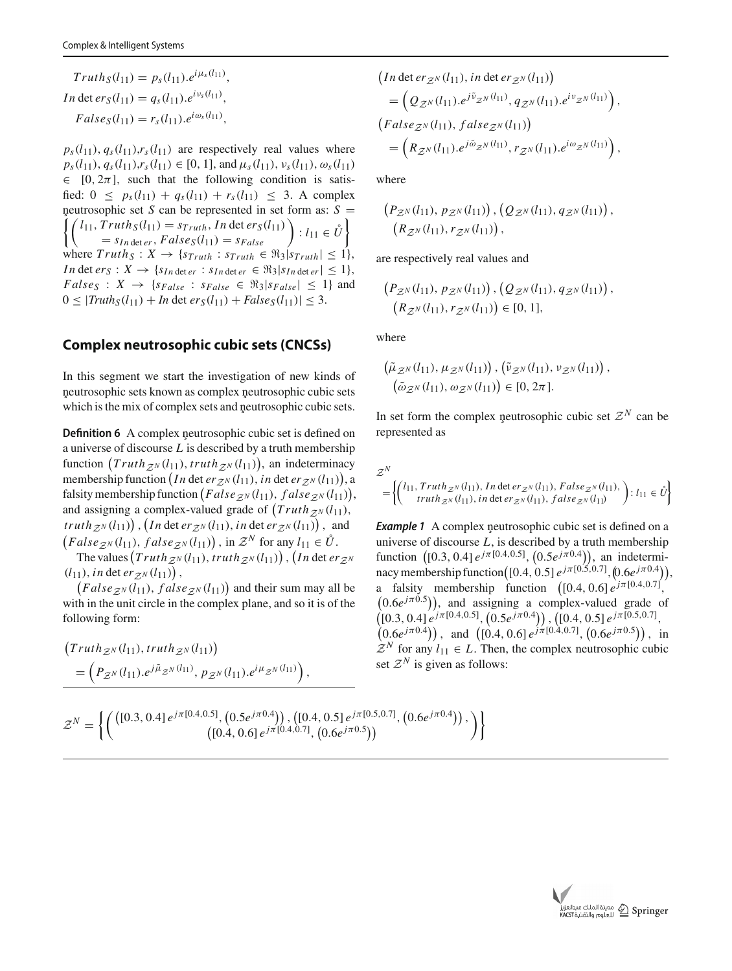$$
Truth_S(l_{11}) = p_S(l_{11}).e^{i\mu_S(l_{11})},
$$
  
\n
$$
In \det ers(l_{11}) = q_S(l_{11}).e^{i\nu_S(l_{11})},
$$
  
\n
$$
False_S(l_{11}) = r_S(l_{11}).e^{i\omega_S(l_{11})},
$$

 $p_s(l_{11}), q_s(l_{11}), r_s(l_{11})$  are respectively real values where  $p_s(l_{11}), q_s(l_{11}), r_s(l_{11}) \in [0, 1]$ , and  $\mu_s(l_{11}), \nu_s(l_{11}), \omega_s(l_{11})$  $\in$  [0, 2 $\pi$ ], such that the following condition is satisfied:  $0 \leq p_s(l_{11}) + q_s(l_{11}) + r_s(l_{11}) \leq 3$ . A complex neutrosophic set *S* can be represented in set form as: *S* = neutrosophic set *S* can be represented in set form as: *S* =<br>  $\left\{ \begin{pmatrix} l_{11}, Truth_S(l_{11}) = s_{Truth}, In \text{det } erg(l_{11}) \\ = s_{In \text{det } er}, False_S(l_{11}) = s_{False} \end{pmatrix} : l_{11} \in \mathring{U} \right\}$ where  $Truth_S: X \rightarrow \{s_{Truth}: s_{Truth} \in \Re_3 | s_{Truth} | \leq 1\},\$ *In* det  $er_S: X \to \{s_{In \det er}: s_{In \det er} \in \Re_3 | s_{In \det er} | \leq 1 \},$  $False_S: X \rightarrow \{s_{False} : s_{False} \in \Re_3 | s_{False} | \leq 1 \}$  and  $0 \leq |Truth_S(l_{11}) + In \text{ det } {erg}(l_{11}) + False_S(l_{11})| \leq 3.$ 

### **Complex neutrosophic cubic sets (CNCSs)**

In this segment we start the investigation of new kinds of neutrosophic sets known as complex neutrosophic cubic sets which is the mix of complex sets and neutrosophic cubic sets.

**Definition 6** A complex neutrosophic cubic set is defined on a universe of discourse *L* is described by a truth membership function  $(Truth_{\mathcal{Z}^N}(l_{11}), truth_{\mathcal{Z}^N}(l_{11})),$  an indeterminacy membership function  $(In \text{ det } er_{\mathcal{Z}^N}(l_{11}), in \text{ det } er_{\mathcal{Z}^N}(l_{11})),$ falsity membership function  $(False_{\mathcal{Z}^N}(l_{11}), false_{\mathcal{Z}^N}(l_{11})),$ and assigning a complex-valued grade of  $(Truth_{Z^N}(l_{11}),$  $int_{\mathbb{R}^N} t \cdot \left( \ln t \right) \cdot \left( \ln t \cdot \ln \left( \frac{dt}{t} \right) \cdot \ln \left( \frac{dt}{t} \right) \right) \cdot \lim_{t \to \infty} \ln t \cdot \ln \left( \frac{dt}{t} \right)$  $(False_{\mathcal{Z}^N}(l_{11}), false_{\mathcal{Z}^N}(l_{11}))$ , in  $\mathcal{Z}^N$  for any  $l_{11} \in \mathring{U}$ .

The values  $(Truth_{\mathcal{Z}^N}(l_{11}), truth_{\mathcal{Z}^N}(l_{11}))$ ,  $(In det er_{\mathcal{Z}^N})$  $(l_{11}),$  *in* det *er*<sub>Z</sub><sup>*N*</sup> $(l_{11})$ ,

 $(False_{\mathcal{Z}^N}(l_{11}), false_{\mathcal{Z}^N}(l_{11}))$  and their sum may all be with in the unit circle in the complex plane, and so it is of the following form:

$$
\begin{aligned} &\left( Truth_{\mathcal{Z}^N}(l_{11}), truth_{\mathcal{Z}^N}(l_{11}) \right) \\ &= \left( P_{\mathcal{Z}^N}(l_{11}).e^{j\tilde{\mu}_{\mathcal{Z}^N}(l_{11})}, p_{\mathcal{Z}^N}(l_{11}).e^{i\mu_{\mathcal{Z}^N}(l_{11})} \right), \end{aligned}
$$

$$
(In \det er_{\mathcal{Z}^N}(l_{11}), in \det er_{\mathcal{Z}^N}(l_{11}))
$$
  
=  $(Q_{\mathcal{Z}^N}(l_{11}).e^{j\tilde{\nu}_{\mathcal{Z}^N}(l_{11})}, q_{\mathcal{Z}^N}(l_{11}).e^{i\nu_{\mathcal{Z}^N}(l_{11})}),$   
 $(False_{\mathcal{Z}^N}(l_{11}), false_{\mathcal{Z}^N}(l_{11}))$   
=  $(R_{\mathcal{Z}^N}(l_{11}).e^{j\tilde{\omega}_{\mathcal{Z}^N}(l_{11})}, r_{\mathcal{Z}^N}(l_{11}).e^{i\omega_{\mathcal{Z}^N}(l_{11})}),$ 

where

$$
(P_{\mathcal{Z}^N}(l_{11}), p_{\mathcal{Z}^N}(l_{11})), (Q_{\mathcal{Z}^N}(l_{11}), q_{\mathcal{Z}^N}(l_{11})),(R_{\mathcal{Z}^N}(l_{11}), r_{\mathcal{Z}^N}(l_{11})),
$$

are respectively real values and

$$
(P_{\mathcal{Z}^N}(l_{11}), p_{\mathcal{Z}^N}(l_{11})), (Q_{\mathcal{Z}^N}(l_{11}), q_{\mathcal{Z}^N}(l_{11})),
$$
  

$$
(R_{\mathcal{Z}^N}(l_{11}), r_{\mathcal{Z}^N}(l_{11})) \in [0, 1],
$$

where

$$
(\tilde{\mu}_{\mathcal{Z}^N}(l_{11}), \mu_{\mathcal{Z}^N}(l_{11})) , (\tilde{\nu}_{\mathcal{Z}^N}(l_{11}), \nu_{\mathcal{Z}^N}(l_{11})) , (\tilde{\omega}_{\mathcal{Z}^N}(l_{11}), \omega_{\mathcal{Z}^N}(l_{11})) \in [0, 2\pi].
$$

In set form the complex neutrosophic cubic set  $\mathcal{Z}^N$  can be represented as

$$
\mathcal{Z}^N = \left\{ \begin{pmatrix} l_{11}, Truth_{\mathcal{Z}^N}(l_{11}), In \det er_{\mathcal{Z}^N}(l_{11}), False_{\mathcal{Z}^N}(l_{11}), \\ truth_{\mathcal{Z}^N}(l_{11}), in \det er_{\mathcal{Z}^N}(l_{11}), false_{\mathcal{Z}^N}(l_{11}) \end{pmatrix} : l_{11} \in \mathring{U} \right\}
$$

**Example 1** A complex neutrosophic cubic set is defined on a universe of discourse *L*, is described by a truth membership function  $([0.3, 0.4] e^{j\pi[0.4, 0.5]}, (0.5e^{j\pi[0.4)}),$  an indeterminacy membership function  $([0.4, 0.5] e^{j\pi [0.5, 0.7]}, (0.6e^{j\pi 0.4})),$ a falsity membership function  $(0.4, 0.6] e^{j\pi [0.4, 0.7]},$  $(0.6e^{j\pi(0.5)})$ , and assigning a complex-valued grade of  $((0.3, 0.4]e^{j\pi[0.4, 0.5]}, (0.5e^{j\pi[0.4)}]), ((0.4, 0.5]e^{j\pi[0.5, 0.7]},$  $(0.6e^{j\pi(0.4)}),$  and  $([0.4, 0.6]e^{j\pi(0.4, 0.7)}, (0.6e^{j\pi(0.5)}),$  in  $Z^N$  for any  $l_{11} \in L$ . Then, the complex neutrosophic cubic set  $\mathcal{Z}^N$  is given as follows:

$$
\mathcal{Z}^N = \left\{ \left( \begin{matrix} ([0.3, 0.4] \, e^{j\pi [0.4, 0.5]}, (0.5 e^{j\pi 0.4}) ), ([0.4, 0.5] \, e^{j\pi [0.5, 0.7]}, (0.6 e^{j\pi 0.4}) ), \\ ([0.4, 0.6] \, e^{j\pi [0.4, 0.7]}, (0.6 e^{j\pi 0.5}) ) \end{matrix} \right) \right\}
$$

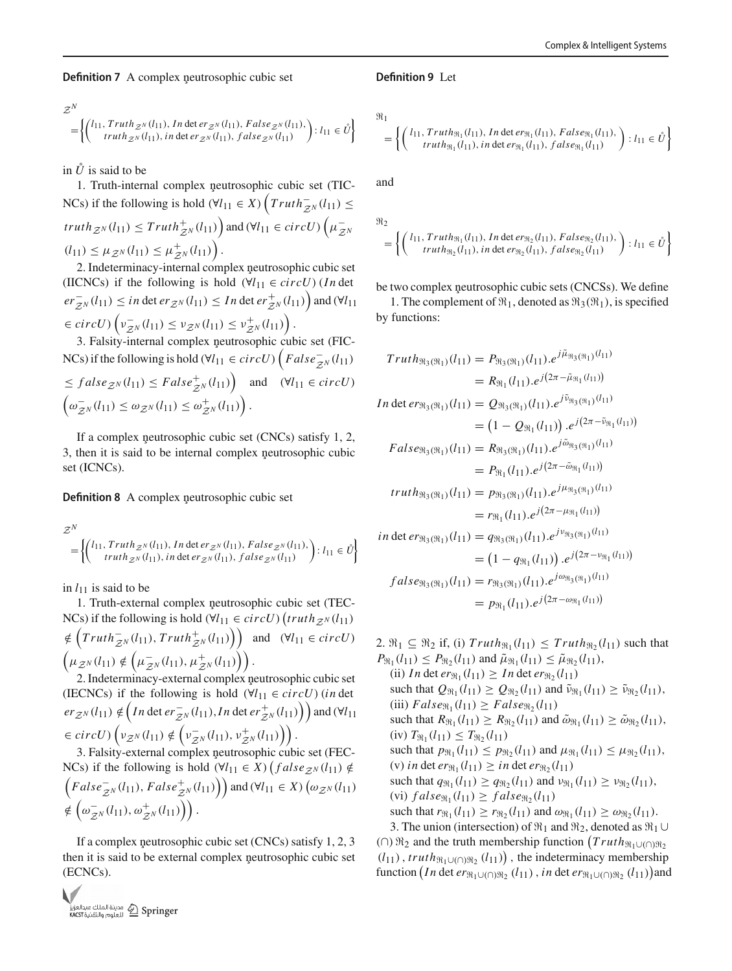**Definition 7** A complex neutrosophic cubic set

$$
\mathcal{Z}^{N} = \left\{ \begin{pmatrix} l_{11}, Truth_{\mathcal{Z}^{N}}(l_{11}), In \det er_{\mathcal{Z}^{N}}(l_{11}), False_{\mathcal{Z}^{N}}(l_{11}), \\ truth_{\mathcal{Z}^{N}}(l_{11}), in \det er_{\mathcal{Z}^{N}}(l_{11}), false_{\mathcal{Z}^{N}}(l_{11}) \end{pmatrix} : l_{11} \in \mathring{U} \right\}
$$

in  $\mathring{U}$  is said to be

1. Truth-internal complex neutrosophic cubic set (TIC-NCs) if the following is hold  $(\forall l_{11} \in X)$   $\left( Truth_{\mathbb{Z}^N}^{-1}(l_{11}) \leq \right)$  $truth_{\mathcal{Z}^N}(l_{11}) \leq Truth_{\mathcal{Z}^N}^+(l_{11})\bigg)$  and  $(\forall l_{11} \in circU)$   $\left(\mu_{\mathcal{Z}^N}^-\right)$  $(l_{11}) \leq \mu_{\mathcal{Z}^N}(l_{11}) \leq \mu_{\mathcal{Z}^N}^+(l_{11})$ .

2. Indeterminacy-internal complex neutrosophic cubic set (IICNCs) if the following is hold  $(\forall l_{11} \in circU)$  (*In* det  $er_{\mathcal{Z}^N}^-(l_{11}) \leq in \det er_{\mathcal{Z}^N}(l_{11}) \leq In \det er_{\mathcal{Z}^N}^+(l_{11})$  and  $(\forall l_{11})$  $\in$  *circU*)  $\left( v_{\mathcal{Z}^N}^{-}(l_{11}) \leq v_{\mathcal{Z}^N}(l_{11}) \leq v_{\mathcal{Z}^N}^{+}(l_{11}) \right)$ .

3. Falsity-internal complex neutrosophic cubic set (FIC-NCs) if the following is hold ( $\forall l_{11} \in circU$ )  $\left(False_{\mathbb{Z}^N}^{-1}(l_{11})\right)$  $\leq false_{\mathcal{Z}^N}(l_{11}) \leq False_{\mathcal{Z}^N}^+(l_{11})$  and  $(\forall l_{11} \in circU)$  $\left(\omega_{\mathcal{Z}^N}^-(l_{11}) \leq \omega_{\mathcal{Z}^N}(l_{11}) \leq \omega_{\mathcal{Z}^N}^+(l_{11})\right).$ 

If a complex neutrosophic cubic set  $(CNCs)$  satisfy 1, 2, 3, then it is said to be internal complex neutrosophic cubic set (ICNCs).

**Definition 8** A complex neutrosophic cubic set

$$
\mathcal{Z}^{N} = \left\{ \begin{pmatrix} l_{11}, Truth_{\mathcal{Z}^{N}}(l_{11}), In \det er_{\mathcal{Z}^{N}}(l_{11}), False_{\mathcal{Z}^{N}}(l_{11}), \\ truth_{\mathcal{Z}^{N}}(l_{11}), in \det er_{\mathcal{Z}^{N}}(l_{11}), false_{\mathcal{Z}^{N}}(l_{11}) \end{pmatrix} : l_{11} \in \mathring{U} \right\}
$$

in  $l_{11}$  is said to be

1. Truth-external complex neutrosophic cubic set (TEC-NCs) if the following is hold  $(\forall l_{11} \in circU)$   $(truth_{\mathcal{Z}^N}(l_{11})$  $\notin (Truth_{\mathcal{Z}^N}^{-1}(l_{11}), Truth_{\mathcal{Z}^N}^{+}(l_{11}))$  and  $(\forall l_{11} \in circU)$  $\left(\mu_{\mathcal{Z}^N}(l_{11}) \notin \left(\mu_{\mathcal{Z}^N}^-(l_{11}), \mu_{\mathcal{Z}^N}^+(l_{11})\right)\right).$ 2. Indeterminacy-external complex neutrosophic cubic set

(IECNCs) if the following is hold  $(\forall l_{11} \in circU)$  (*in* det  $er_{\mathcal{Z}^N}(l_{11}) \notin (In \det er_{\mathcal{Z}^N}^-(l_{11}), In \det er_{\mathcal{Z}^N}^+(l_{11})\)$  and  $(\forall l_{11})$  $\in$  *circU*)  $\left(\nu_{\mathcal{Z}^N}(l_{11}) \notin \left(\nu_{\mathcal{Z}^N}^-(l_{11}), \nu_{\mathcal{Z}^N}^+(l_{11})\right)\right).$ 

3. Falsity-external complex neutrosophic cubic set (FEC-NCs) if the following is hold  $(\forall l_{11} \in X)$  ( $false_{\mathcal{Z}^{N}}(l_{11}) \notin \mathcal{Z}^{N}$  $\left(False_{Z^N}^{-}(l_{11}), False_{Z^N}^{+}(l_{11})\right)$  and  $(\forall l_{11} \in X)$   $\left(\omega_{Z^N}(l_{11})\right)$  $\notin \left(\omega_{\mathcal{Z}^N}^-(l_{11}), \omega_{\mathcal{Z}^N}^+(l_{11})\right)\right).$ 

If a complex neutrosophic cubic set (CNCs) satisfy  $1, 2, 3$ then it is said to be external complex neutrosophic cubic set (ECNCs).



#### **Definition 9** Let

$$
\Re_1
$$

$$
= \left\{ \begin{pmatrix} l_{11}, Truth_{\Re_1}(l_{11}), In \det er_{\Re_1}(l_{11}), False_{\Re_1}(l_{11}), \\ truth_{\Re_1}(l_{11}), in \det er_{\Re_1}(l_{11}), false_{\Re_1}(l_{11}) \end{pmatrix} : l_{11} \in \mathring{U} \right\}
$$

and

$$
\mathcal{H}_2 = \left\{ \left( \begin{array}{c} l_{11}, \text{Truth}_{\mathfrak{R}_1}(l_{11}), \text{ } In \text{ det } \text{er}_{\mathfrak{R}_2}(l_{11}), \text{ } False_{\mathfrak{R}_2}(l_{11}), \\ \text{ truth}_{\mathfrak{R}_2}(l_{11}), \text{ } in \text{ det } \text{er}_{\mathfrak{R}_2}(l_{11}), \text{ } false_{\mathfrak{R}_2}(l_{11}) \end{array} \right) : l_{11} \in \mathring{U} \right\}
$$

be two complex neutrosophic cubic sets (CNCSs). We define 1. The complement of  $\Re_1$ , denoted as  $\Re_3(\Re_1)$ , is specified by functions:

$$
Truth_{\mathfrak{R}_3(\mathfrak{R}_1)}(l_{11}) = P_{\mathfrak{R}_3(\mathfrak{R}_1)}(l_{11}).e^{j\tilde{\mu}_{\mathfrak{R}_3(\mathfrak{R}_1)}(l_{11})}
$$
  
\n
$$
= R_{\mathfrak{R}_1}(l_{11}).e^{j(2\pi - \tilde{\mu}_{\mathfrak{R}_1}(l_{11}))}
$$
  
\n
$$
In \det er_{\mathfrak{R}_3(\mathfrak{R}_1)}(l_{11}) = Q_{\mathfrak{R}_3(\mathfrak{R}_1)}(l_{11}).e^{j\tilde{\nu}_{\mathfrak{R}_3(\mathfrak{R}_1)}(l_{11})}
$$
  
\n
$$
= (1 - Q_{\mathfrak{R}_1}(l_{11})) .e^{j(2\pi - \tilde{\nu}_{\mathfrak{R}_1}(l_{11}))}
$$
  
\n
$$
False_{\mathfrak{R}_3(\mathfrak{R}_1)}(l_{11}) = R_{\mathfrak{R}_3(\mathfrak{R}_1)}(l_{11}).e^{j\tilde{\omega}_{\mathfrak{R}_3(\mathfrak{R}_1)}(l_{11})}
$$
  
\n
$$
= P_{\mathfrak{R}_1}(l_{11}).e^{j(2\pi - \tilde{\omega}_{\mathfrak{R}_1}(l_{11}))}
$$
  
\n
$$
truth_{\mathfrak{R}_3(\mathfrak{R}_1)}(l_{11}) = p_{\mathfrak{R}_3(\mathfrak{R}_1)}(l_{11}).e^{j\mu_{\mathfrak{R}_3(\mathfrak{R}_1)}(l_{11})}
$$
  
\n
$$
= r_{\mathfrak{R}_1}(l_{11}).e^{j(2\pi - \mu_{\mathfrak{R}_1}(l_{11}))}
$$
  
\n
$$
in \det er_{\mathfrak{R}_3(\mathfrak{R}_1)}(l_{11}) = q_{\mathfrak{R}_3(\mathfrak{R}_1)}(l_{11}).e^{j\nu_{\mathfrak{R}_3(\mathfrak{R}_1)}(l_{11})}
$$
  
\n
$$
= (1 - q_{\mathfrak{R}_1}(l_{11})).e^{j(2\pi - \nu_{\mathfrak{R}_1}(l_{11}))}
$$
  
\n<

2.  $\mathfrak{R}_1 \subseteq \mathfrak{R}_2$  if, (i)  $Truth_{\mathfrak{R}_1}(l_{11}) \leq Truth_{\mathfrak{R}_2}(l_{11})$  such that  $P_{\Re_1}(l_{11}) \leq P_{\Re_2}(l_{11})$  and  $\tilde{\mu}_{\Re_1}(l_{11}) \leq \tilde{\mu}_{\Re_2}(l_{11}),$ (ii) *In* det  $er_{\Re_1}(l_{11}) \geq In \det er_{\Re_2}(l_{11})$ such that  $Q_{\Re_1}(l_{11}) \geq Q_{\Re_2}(l_{11})$  and  $\tilde{\nu}_{\Re_1}(l_{11}) \geq \tilde{\nu}_{\Re_2}(l_{11}),$  $(iii) False_{\Re_1}(l_{11}) \geq False_{\Re_2}(l_{11})$ such that  $R_{\Re_1}(l_{11}) \ge R_{\Re_2}(l_{11})$  and  $\tilde{\omega}_{\Re_1}(l_{11}) \ge \tilde{\omega}_{\Re_2}(l_{11}),$  $(iv) T_{\Re_1}(l_{11}) \leq T_{\Re_2}(l_{11})$ such that  $p_{\Re_1}(l_{11}) \leq p_{\Re_2}(l_{11})$  and  $\mu_{\Re_1}(l_{11}) \leq \mu_{\Re_2}(l_{11}),$ (v) *in* det  $er_{\Re_1}(l_{11}) \ge in \det er_{\Re_2}(l_{11})$ such that  $q_{\Re_1}(l_{11}) \geq q_{\Re_2}(l_{11})$  and  $\nu_{\Re_1}(l_{11}) \geq \nu_{\Re_2}(l_{11}),$  $(vi)$   $false_{\Re_1}(l_{11}) \geq false_{\Re_2}(l_{11})$ such that  $r_{\Re_1}(l_{11}) \ge r_{\Re_2}(l_{11})$  and  $\omega_{\Re_1}(l_{11}) \ge \omega_{\Re_2}(l_{11})$ . 3. The union (intersection) of  $\Re_1$  and  $\Re_2$ , denoted as  $\Re_1 \cup$ 

(∩)  $\Re_2$  and the truth membership function  $(Truth_{\Re_1 \cup (∩)\Re_2})$  $(l_{11})$ , *truth* $\mathfrak{R}_1 \cup (\cap) \mathfrak{R}_2$   $(l_{11})$ , the indeterminacy membership function  $(In \det er_{\Re_1 \cup (\cap) \Re_2} (l_{11}), in \det er_{\Re_1 \cup (\cap) \Re_2} (l_{11}))$  and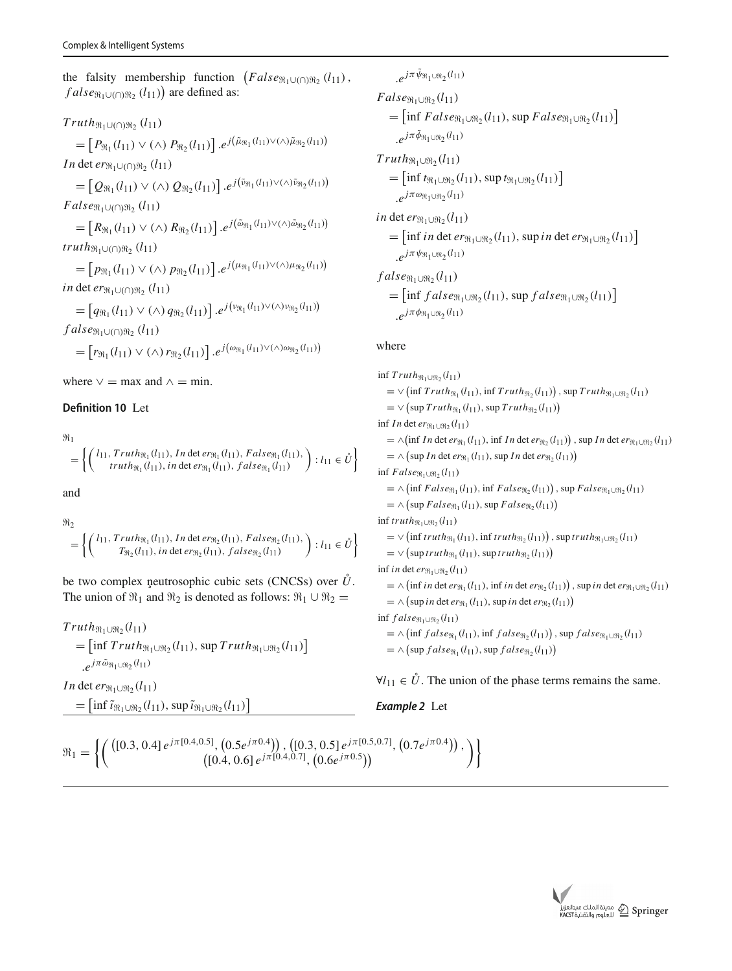the falsity membership function  $(False_{\Re_1 \cup (\cap) \Re_2} (l_{11}),$  $false_{\Re_1 \cup (\cap) \Re_2} (l_{11})$  are defined as:

# $Truth_{\mathfrak{R}_1\cup( \cap)\mathfrak{R}_2}(l_{11})$

 $= [P_{\Re_1}(l_{11}) \vee (\wedge) P_{\Re_2}(l_{11})]$ . $e^{j(\tilde{\mu}_{\Re_1}(l_{11}) \vee (\wedge) \tilde{\mu}_{\Re_2}(l_{11}))}$ *In* det *er*<sub>\{1∪(∩)\, (*l*<sub>11</sub>)</sub>

 $=$   $[Q_{\Re_1}(l_{11}) \vee (\wedge) Q_{\Re_2}(l_{11})]$ . $e^{j(\tilde{\nu}_{\Re_1}(l_{11}) \vee (\wedge) \tilde{\nu}_{\Re_2}(l_{11}))}$  $False_{\mathfrak{R}_1\cup( \cap)\mathfrak{R}_2}(l_{11})$ 

 $= [R_{\Re_1}(l_{11}) \vee (\wedge) R_{\Re_2}(l_{11})]$ . $e^{j(\tilde{\omega}_{\Re_1}(l_{11}) \vee (\wedge) \tilde{\omega}_{\Re_2}(l_{11}))}$ *truth*<sub> $\mathfrak{R}_1$ ∪(∩) $\mathfrak{R}_2$  ( $l_{11}$ )</sub>

 $= [p_{\Re_1}(l_{11}) \vee (\wedge) p_{\Re_2}(l_{11})]$ . $e^{j(\mu_{\Re_1}(l_{11}) \vee (\wedge) \mu_{\Re_2}(l_{11}))}$ *in* det *er*<sub> $\Re_1$ ∪(∩) $\Re_2$  (*l*<sub>11</sub>)</sub>

 $= [q_{\Re_1}(l_{11}) \vee (\wedge) q_{\Re_2}(l_{11})]$ . $e^{j(\nu_{\Re_1}(l_{11}) \vee (\wedge) \nu_{\Re_2}(l_{11}))}$ *f alse*-1∪(∩)-<sup>2</sup> (*l*11)

 $= [r_{\Re_1}(l_{11}) \vee (\wedge) r_{\Re_2}(l_{11})] \cdot e^{j(\omega_{\Re_1}(l_{11}) \vee (\wedge) \omega_{\Re_2}(l_{11}))}$ 

where  $\vee$  = max and  $\wedge$  = min.

## **Definition 10** Let

 $\mathfrak{m}_1$ =  $\int$   $\int$   $l_{11}$ ,  $Truth_{\mathfrak{R}_1}(l_{11})$ ,  $In$  det  $er_{\mathfrak{R}_1}(l_{11})$ ,  $False_{\mathfrak{R}_1}(l_{11})$ ,  $truth_{\Re_1}(l_{11}),$  *in* det  $\text{er}_{\Re_1}(l_{11}),$   $false_{\Re_1}(l_{11})$  $\Big\}$ :  $l_{11} \in \mathring{U}$ 

and

$$
\mathcal{H}_2 = \left\{ \begin{pmatrix} l_{11}, \text{Truth}_{\Re_1}(l_{11}), \text{In det } er_{\Re_2}(l_{11}), \text{False}_{\Re_2}(l_{11}), \\ T_{\Re_2}(l_{11}), \text{in det } er_{\Re_2}(l_{11}), \text{false}_{\Re_2}(l_{11}) \end{pmatrix} : l_{11} \in \mathring{U} \right\}
$$

be two complex neutrosophic cubic sets (CNCSs) over  $\mathring{U}$ . The union of  $\Re_1$  and  $\Re_2$  is denoted as follows:  $\Re_1 \cup \Re_2 =$ 

$$
Truth_{\mathfrak{R}_1 \cup \mathfrak{R}_2}(l_{11})
$$
  
= 
$$
[\inf Truth_{\mathfrak{R}_1 \cup \mathfrak{R}_2}(l_{11}), \sup Truth_{\mathfrak{R}_1 \cup \mathfrak{R}_2}(l_{11})]
$$
  
. 
$$
e^{j\pi \tilde{\omega}_{\mathfrak{R}_1 \cup \mathfrak{R}_2}(l_{11})}
$$

*In* det  $er_{\Re_1 \cup \Re_2}(l_{11})$ 

 $=$  [inf  $\tilde{\iota}_{\Re_1 \cup \Re_2}(l_{11}),$  sup  $\tilde{\iota}_{\Re_1 \cup \Re_2}(l_{11})$ ]

$$
e^{j\pi \psi_{\Re_1 \cup \Re_2}(l_{11})}
$$
  
\n
$$
False_{\Re_1 \cup \Re_2}(l_{11})
$$
  
\n
$$
= [\inf Fals e_{\Re_1 \cup \Re_2}(l_{11}), \sup Fals e_{\Re_1 \cup \Re_2}(l_{11})]
$$
  
\n
$$
e^{j\pi \tilde{\phi}_{\Re_1 \cup \Re_2}(l_{11})}
$$
  
\n
$$
Truth_{\Re_1 \cup \Re_2}(l_{11})
$$
  
\n
$$
= [\inf t_{\Re_1 \cup \Re_2}(l_{11}), \sup t_{\Re_1 \cup \Re_2}(l_{11})]
$$
  
\n
$$
i\pi \det er_{\Re_1 \cup \Re_2}(l_{11})
$$
  
\n
$$
= [\inf i\pi \det er_{\Re_1 \cup \Re_2}(l_{11}), \sup i\pi \det er_{\Re_1 \cup \Re_2}(l_{11})]
$$
  
\n
$$
= e^{j\pi \psi_{\Re_1 \cup \Re_2}(l_{11})}
$$
  
\n
$$
false_{\Re_1 \cup \Re_2}(l_{11})
$$
  
\n
$$
= [\inf fals e_{\Re_1 \cup \Re_2}(l_{11}), \sup fals e_{\Re_1 \cup \Re_2}(l_{11})]
$$

#### where

 $e^{j\pi \phi_{\Re_1 \cup \Re_2}(l_{11})}$ 

 $\inf Truth_{\Re_1 \cup \Re_2}(l_{11})$  $= \vee (\inf Truth_{\Re_1}(l_{11}), \inf Truth_{\Re_2}(l_{11}))$ , sup  $Truth_{\Re_1 \cup \Re_2}(l_{11})$  $= \vee (\sup Truth_{\Re_1}(l_{11}), \sup Truth_{\Re_2}(l_{11}))$ inf *In* det  $er_{\Re_1 \cup \Re_2}(l_{11})$  $= \wedge (\inf In \det er_{\Re_1}(l_{11}), \inf In \det er_{\Re_2}(l_{11}))$ , sup *In* det  $er_{\Re_1 \cup \Re_2}(l_{11})$  $= \wedge \left( \sup In \det er_{\Re_1}(l_{11}), \sup In \det er_{\Re_2}(l_{11}) \right)$  $\inf False_{\Re_1\cup\Re_2}(l_{11})$  $= \wedge \left( \inf False_{\Re_1}(l_{11}), \inf False_{\Re_2}(l_{11}) \right), \sup False_{\Re_1 \cup \Re_2}(l_{11})$  $= \wedge \left( \sup False_{\Re_1}(l_{11}), \sup False_{\Re_2}(l_{11}) \right)$  $\inf truth_{\Re_1 \cup \Re_2}(l_{11})$  $=\vee$  (inf *truth*<sub> $\mathfrak{R}_1(l_{11})$ , inf *truth* $\mathfrak{R}_2(l_{11})$ ), sup *truth* $\mathfrak{R}_1 \cup \mathfrak{R}_2(l_{11})$ </sub>  $=\vee$  (sup *truth*<sub> $\Re_1$ </sub> (*l*<sub>11</sub>), sup *truth*<sub> $\Re_2$ </sub> (*l*<sub>11</sub>))  $\inf$  *in* det  $er_{\Re_1 \cup \Re_2}(l_{11})$  $= \wedge \left( \inf \text{ in } \det \text{er}_{\Re_1}(l_{11}), \inf \text{ in } \det \text{er}_{\Re_2}(l_{11}) \right), \sup \text{ in } \det \text{er}_{\Re_1 \cup \Re_2}(l_{11})$  $= \wedge (\sup in \det er_{\Re_1}(l_{11}), \sup in \det er_{\Re_2}(l_{11}))$  $\inf false_{\Re_1\cup\Re_2}(l_{11})$  $= \wedge \left( \inf false_{\Re_1}(l_{11}), \inf false_{\Re_2}(l_{11}) \right), \sup false_{\Re_1 \cup \Re_2}(l_{11})$  $= \wedge \left( \sup false_{\Re_1}(l_{11}), \sup false_{\Re_2}(l_{11}) \right)$ 

 $\forall l_{11} \in \mathring{U}$ . The union of the phase terms remains the same.

#### *Example 2* Let

$$
\mathfrak{R}_1 = \left\{ \left( \begin{pmatrix} ([0.3, 0.4] \, e^{j\pi [0.4, 0.5]}, (0.5 e^{j\pi 0.4}) ), ([0.3, 0.5] \, e^{j\pi [0.5, 0.7]}, (0.7 e^{j\pi 0.4}) ), \\ ([0.4, 0.6] \, e^{j\pi [0.4, 0.7]}, (0.6 e^{j\pi 0.5}) ) \end{pmatrix} \right\}
$$

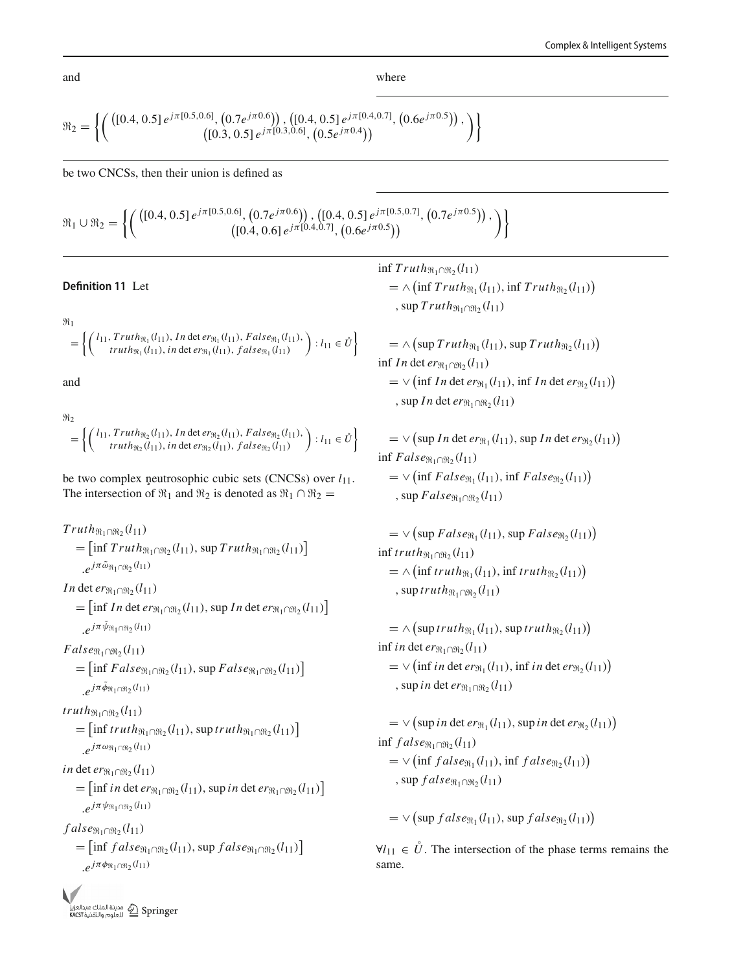where

$$
\mathfrak{R}_2 = \left\{ \left( \begin{pmatrix} \left( [0.4, 0.5] e^{j\pi [0.5, 0.6]}, \left( 0.7 e^{j\pi 0.6} \right) \right), \left( [0.4, 0.5] e^{j\pi [0.4, 0.7]}, \left( 0.6 e^{j\pi 0.5} \right) \right), \\ \left( [0.3, 0.5] e^{j\pi [0.3, 0.6]}, \left( 0.5 e^{j\pi 0.4} \right) \right) \end{pmatrix} \right\}
$$

be two CNCSs, then their union is defined as

 $\mathfrak{R}_1 \cup \mathfrak{R}_2 =$  $\left[ \int \left( \left[ 0.4, 0.5 \right] e^{j \pi \left[ 0.5, 0.6 \right]}, \left( 0.7 e^{j \pi 0.6} \right) \right], \left( \left[ 0.4, 0.5 \right] e^{j \pi \left[ 0.5, 0.7 \right]}, \left( 0.7 e^{j \pi 0.5} \right) \right],$  $\left\{ \begin{array}{l} (0.7 e^{j \pi 0.6} ) )\,, \left([0.4, 0.5] \, e^{j \pi [0.5, 0.7]}, \, \left(0.7 e^{j \pi 0.5}\right)\right), \ \left([0.4, 0.6] \, e^{j \pi [0.4, 0.7]}, \, \left(0.6 e^{j \pi 0.5}\right)\right) \end{array} \right\} \, ,$ 

#### **Definition 11** Let

 $\mathfrak{m}_1$ 

$$
= \left\{ \begin{pmatrix} l_{11}, Truth_{\Re_1}(l_{11}), In \det er_{\Re_1}(l_{11}), False_{\Re_1}(l_{11}), \\ truth_{\Re_1}(l_{11}), in \det er_{\Re_1}(l_{11}), false_{\Re_1}(l_{11}) \end{pmatrix} : l_{11} \in \mathring{U} \right\}
$$

and

$$
\mathcal{H}_2 = \left\{ \begin{pmatrix} l_{11}, Truth_{\mathfrak{R}_2}(l_{11}), In \det er_{\mathfrak{R}_2}(l_{11}), False_{\mathfrak{R}_2}(l_{11}), \\ truth_{\mathfrak{R}_2}(l_{11}), in \det er_{\mathfrak{R}_2}(l_{11}), false_{\mathfrak{R}_2}(l_{11}) \end{pmatrix} : l_{11} \in \mathring{U} \right\}
$$

be two complex neutrosophic cubic sets (CNCSs) over  $l_{11}$ . The intersection of  $\Re_1$  and  $\Re_2$  is denoted as  $\Re_1 \cap \Re_2 =$ 

$$
Truth_{\mathfrak{R}_1 \cap \mathfrak{R}_2}(l_{11})
$$
  
= 
$$
[\inf Truth_{\mathfrak{R}_1 \cap \mathfrak{R}_2}(l_{11}), \sup Truth_{\mathfrak{R}_1 \cap \mathfrak{R}_2}(l_{11})]
$$
  
. 
$$
e^{j\pi \tilde{\omega}_{\mathfrak{R}_1 \cap \mathfrak{R}_2}(l_{11})}
$$
  
In det  $er_{\mathfrak{R}_1 \cap \mathfrak{R}_2}(l_{11})$ 

 $=$  [inf *In* det  $er_{\Re_1 \cap \Re_2}(l_{11}),$  sup *In* det  $er_{\Re_1 \cap \Re_2}(l_{11})$ ]  $.e^{j\pi\psi_{\Re_1\cap\Re_2}(l_{11})}$ 

 $False_{\Re_1 \cap \Re_2}(l_{11})$ 

 $=$  [inf  $False_{\Re_1 \cap \Re_2}(l_{11}),$  sup  $False_{\Re_1 \cap \Re_2}(l_{11})$ ]  $e^{j\pi \phi_{\Re_1}(\ln_2(l_{11}))}$ 

$$
truth_{\Re_1\cap\Re_2}(l_{11})
$$

 $=$   $\left[ \inf \mathit{truth}_{\Re_1 \cap \Re_2}(l_{11}), \sup \mathit{truth}_{\Re_1 \cap \Re_2}(l_{11}) \right]$  $e^{j\pi\omega_{\Re_1\cap\Re_2}(l_{11})}$ 

 $in$  det  $er_{\Re_1 \cap \Re_2}(l_{11})$ 

 $=$  [inf *in* det  $er_{\Re_1 \cap \Re_2}(l_{11}),$  sup *in* det  $er_{\Re_1 \cap \Re_2}(l_{11})$ ]  $e^{j\pi \psi_{\Re_1 \cap \Re_2}(l_{11})}$ 

 $false_{\Re_1 \cap \Re_2}(l_{11})$  $=$  [inf  $false_{\Re_1 \cap \Re_2}(l_{11}),$  sup  $false_{\Re_1 \cap \Re_2}(l_{11})$ ]

$$
\cdot e^{j\pi\phi_{\mathfrak{N}_{1}\cap\mathfrak{N}_{2}}(l_{11})}
$$

 $\inf Truth_{\Re_1\cap\Re_2}(l_{11})$  $= \wedge \left( \inf Truth_{\mathfrak{R}_1}(l_{11}), \inf Truth_{\mathfrak{R}_2}(l_{11}) \right)$ , sup  $Truth_{\Re_1 \cap \Re_2}(l_{11})$  $= \wedge \left( \sup Truth_{\mathfrak{R}_1}(l_{11}), \sup Truth_{\mathfrak{R}_2}(l_{11}) \right)$ inf *In* det  $er_{\Re_1 \cap \Re_2}(l_{11})$  $=$   $\vee$  (inf *In* det *er*<sub> $\Re_1$ </sub>(*l*<sub>11</sub>), inf *In* det *er*<sub> $\Re_2$ </sub>(*l*<sub>11</sub>)) , sup *In* det  $er_{\Re_1 \cap \Re_2}(l_{11})$  $= \vee \left( \sup In \det er_{\Re_1}(l_{11}), \sup In \det er_{\Re_2}(l_{11}) \right)$  $\inf False_{\Re_1\cap\Re_2}(l_{11})$  $=$   $\vee$  (inf *False*<sub> $\Re_1$ </sub>( $l_{11}$ ), inf *False*<sub> $\Re_2$ </sub>( $l_{11}$ )) , sup  $False_{\Re_1 \cap \Re_2}(l_{11})$  $= \vee \left( \sup False_{\Re_1}(l_{11}), \sup False_{\Re_2}(l_{11}) \right)$  $\inf truth_{\Re_1 \cap \Re_2}(l_{11})$  $= \wedge \left( \inf truth_{\Re_1}(l_{11}), \inf truth_{\Re_2}(l_{11}) \right)$ , sup  $truth_{\Re_1\cap\Re_2}(l_{11})$  $= \wedge \left( \text{sup } truth_{\Re_1}(l_{11}), \text{sup } truth_{\Re_2}(l_{11}) \right)$ inf *in* det  $er_{\Re_1 \cap \Re_2}(l_{11})$  $=$   $\vee$  (inf *in* det *er*<sub> $\Re_1$ </sub>(*l*<sub>11</sub>), inf *in* det *er*<sub> $\Re_2$ </sub>(*l*<sub>11</sub>)) , sup *in* det  $er_{\Re_1 \cap \Re_2}(l_{11})$  $= \vee (\sup in \det er_{\Re_1}(l_{11}), \sup in \det er_{\Re_2}(l_{11}))$  $\inf false_{\Re_1 \cap \Re_2}(l_{11})$  $=$   $\vee$  (inf *f alse*<sub> $\mathfrak{R}_1$ </sub>(*l*<sub>11</sub>), inf *f alse*<sub> $\mathfrak{R}_2$ </sub>(*l*<sub>11</sub>)) , sup  $false_{\Re_1 \cap \Re_2}(l_{11})$  $=\vee$  (sup  $false_{\Re_1}(l_{11}),$  sup  $false_{\Re_2}(l_{11})$ )

 $\forall l_{11} \in \mathring{U}$ . The intersection of the phase terms remains the same.

and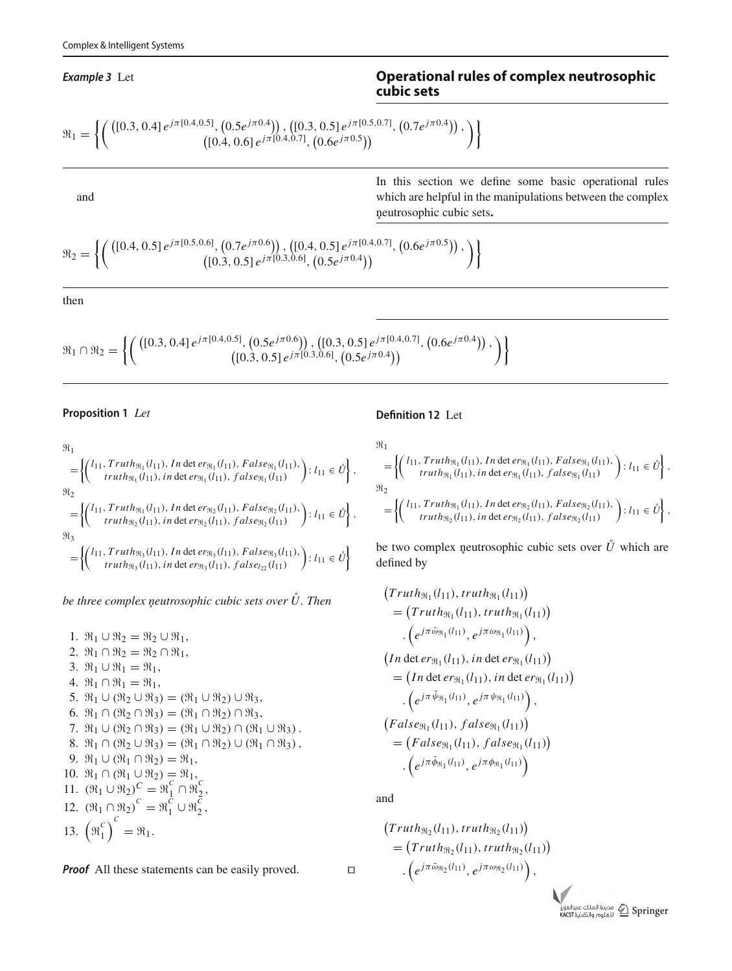#### *Example 3* Let

# **Operational rules of complex neutrosophic cubic sets**

$$
\mathfrak{R}_1 = \left\{ \left( \begin{matrix} \left( [0.3, 0.4] e^{j\pi [0.4, 0.5]}, \left( 0.5 e^{j\pi 0.4} \right) \right), \left( [0.3, 0.5] e^{j\pi [0.5, 0.7]}, \left( 0.7 e^{j\pi 0.4} \right) \right), \\ \left( [0.4, 0.6] e^{j\pi [0.4, 0.7]}, \left( 0.6 e^{j\pi 0.5} \right) \right) \end{matrix} \right) \right\}
$$

and

In this section we define some basic operational rules which are helpful in the manipulations between the complex neutrosophic cubic sets ¸ **.**

$$
\mathfrak{R}_2 = \left\{ \left( \begin{pmatrix} \left( [0.4, 0.5] e^{j\pi [0.5, 0.6]}, \left( 0.7 e^{j\pi 0.6} \right) \right), \left( [0.4, 0.5] e^{j\pi [0.4, 0.7]}, \left( 0.6 e^{j\pi 0.5} \right) \right), \\ \left( [0.3, 0.5] e^{j\pi [0.3, 0.6]}, \left( 0.5 e^{j\pi 0.4} \right) \right) \end{pmatrix} \right\}
$$

then

$$
\mathfrak{R}_1 \cap \mathfrak{R}_2 = \left\{ \left( \begin{matrix} ([0.3, 0.4] \, e^{j\pi [0.4, 0.5]}, (0.5 e^{j\pi 0.6}) ), ([0.3, 0.5] \, e^{j\pi [0.4, 0.7]}, (0.6 e^{j\pi 0.4}) ), \\ ([0.3, 0.5] \, e^{j\pi [0.3, 0.6]}, (0.5 e^{j\pi 0.4}) \end{matrix} \right) \right\}
$$

#### **Proposition 1** *Let*

#### $\mathfrak{m}_1$ =  $\int_{I}$  (*l*<sub>11</sub>, *Truth*<sub> $\Re_1$ </sub> (*l*<sub>11</sub>), *In* det *er*<sub> $\Re_1$ </sub> (*l*<sub>11</sub>), *False*<sub> $\Re_1$ </sub> (*l*<sub>11</sub>),  $truth_{\mathfrak{R}_1}(l_{11}),$  *in* det  $\text{er}_{\mathfrak{R}_1}(l_{11}),$   $false_{\mathfrak{R}_1}(l_{11})$  $\left\{ : l_{11} \in \mathring{U} \right\},\$  $\mathfrak{m}_2$ =  $\int_{I_1}^{I_1} (l_{11}, Truth_{\Re_1}(l_{11}), Int) \det err_{\Re_2}(l_{11}), False_{\Re_2}(l_{11}),$  $truth_{\Re_2}(l_{11}),$  *in* det  $er_{\Re_2}(l_{11}),$   $false_{\Re_2}(l_{11})$  $\left\}$ :  $l_{11} \in \mathring{U} \right\}$ ,  $\mathfrak{m}_3$ =  $\int_{I_1}^{I_1} (l_{11}, Truth_{\Re_3}(l_{11}), Intlet \, erg_3(l_{11}), False_{\Re_3}(l_{11}),$  $truth_{\Re_3}(l_{11}),$  *in* det  $er_{\Re_3}(l_{11}),$   $false_{l_{22}}(l_{11})$  $\left\}$ :  $l_{11} \in \mathring{U} \right\}$

*be three complex neutrosophic cubic sets over U. Then* 

1.  $\Re_1 \cup \Re_2 = \Re_2 \cup \Re_1$ , 2.  $\Re_1 \cap \Re_2 = \Re_2 \cap \Re_1$ , 3.  $\Re_1 \cup \Re_1 = \Re_1$ , 4.  $\Re_1 \cap \Re_1 = \Re_1$ , 5.  $\Re_1 \cup (\Re_2 \cup \Re_3) = (\Re_1 \cup \Re_2) \cup \Re_3$ , 6.  $\Re_1 \cap (\Re_2 \cap \Re_3) = (\Re_1 \cap \Re_2) \cap \Re_3$ , 7.  $\mathfrak{R}_1 \cup (\mathfrak{R}_2 \cap \mathfrak{R}_3) = (\mathfrak{R}_1 \cup \mathfrak{R}_2) \cap (\mathfrak{R}_1 \cup \mathfrak{R}_3)$ . 8.  $\mathfrak{R}_1 \cap (\mathfrak{R}_2 \cup \mathfrak{R}_3) = (\mathfrak{R}_1 \cap \mathfrak{R}_2) \cup (\mathfrak{R}_1 \cap \mathfrak{R}_3)$ , 9.  $\Re_1 \cup (\Re_1 \cap \Re_2) = \Re_1$ , 10.  $\Re_1 \cap (\Re_1 \cup \Re_2) = \Re_1$ , 11.  $(\Re_1 \cup \Re_2)^C = \Re_1^C \cap \Re_2^C$ , 12.  $(\Re_1 \cap \Re_2)^c = \Re_1^c \cup \Re_2^c$ , 13.  $(\mathfrak{R}_1^c)$  $\binom{c}{1}^C$  $=$   $\Re_1$ .

*Proof* All these statements can be easily proved.

**Definition 12** Let

$$
\mathcal{H}_1 = \left\{ \begin{pmatrix} l_{11}, Truth_{\mathfrak{R}_1}(l_{11}), In \det er_{\mathfrak{R}_1}(l_{11}), False_{\mathfrak{R}_1}(l_{11}), \\ truth_{\mathfrak{R}_1}(l_{11}), in \det er_{\mathfrak{R}_1}(l_{11}), false_{\mathfrak{R}_1}(l_{11}) \end{pmatrix} : l_{11} \in \mathring{U} \right\},
$$
  
\n
$$
\mathcal{H}_2 = \left\{ \begin{pmatrix} l_{11}, Truth_{\mathfrak{R}_1}(l_{11}), In \det er_{\mathfrak{R}_2}(l_{11}), False_{\mathfrak{R}_2}(l_{11}), \\ truth_{\mathfrak{R}_2}(l_{11}), in \det er_{\mathfrak{R}_2}(l_{11}), false_{\mathfrak{R}_2}(l_{11}) \end{pmatrix} : l_{11} \in \mathring{U} \right\},
$$

be two complex neutrosophic cubic sets over  $\mathring{U}$  which are defined by

$$
(Truth_{\mathfrak{R}_1}(l_{11}), truth_{\mathfrak{R}_1}(l_{11}))
$$
\n
$$
= (Truth_{\mathfrak{R}_1}(l_{11}), truth_{\mathfrak{R}_1}(l_{11}))
$$
\n
$$
\cdot (e^{j\pi \tilde{\omega}_{\mathfrak{R}_1}(l_{11})}, e^{j\pi \omega_{\mathfrak{R}_1}(l_{11})}),
$$
\n
$$
(In det ev_{\mathfrak{R}_1}(l_{11}), in det ev_{\mathfrak{R}_1}(l_{11}))
$$
\n
$$
= (In det ev_{\mathfrak{R}_1}(l_{11}), in det ev_{\mathfrak{R}_1}(l_{11}))
$$
\n
$$
\cdot (e^{j\pi \tilde{\psi}_{\mathfrak{R}_1}(l_{11})}, false_{\mathfrak{R}_1}(l_{11}))
$$
\n
$$
= (False_{\mathfrak{R}_1}(l_{11}), false_{\mathfrak{R}_1}(l_{11}))
$$
\n
$$
= (False_{\mathfrak{R}_1}(l_{11}), false_{\mathfrak{R}_1}(l_{11}))
$$
\n
$$
\cdot (e^{j\pi \tilde{\phi}_{\mathfrak{R}_1}(l_{11})}, e^{j\pi \phi_{\mathfrak{R}_1}(l_{11})})
$$

and

$$
(Truth_{\mathfrak{R}_2}(l_{11}), truth_{\mathfrak{R}_2}(l_{11}))
$$
  
= 
$$
(Truth_{\mathfrak{R}_2}(l_{11}), truth_{\mathfrak{R}_2}(l_{11}))
$$
  
. 
$$
(e^{j\pi\tilde{\omega}_{\mathfrak{R}_2}(l_{11})}, e^{j\pi\omega_{\mathfrak{R}_2}(l_{11})}),
$$

بدالعزيز Apringer<br>KACST المعلوم والتقنية KACST

$$
\Box
$$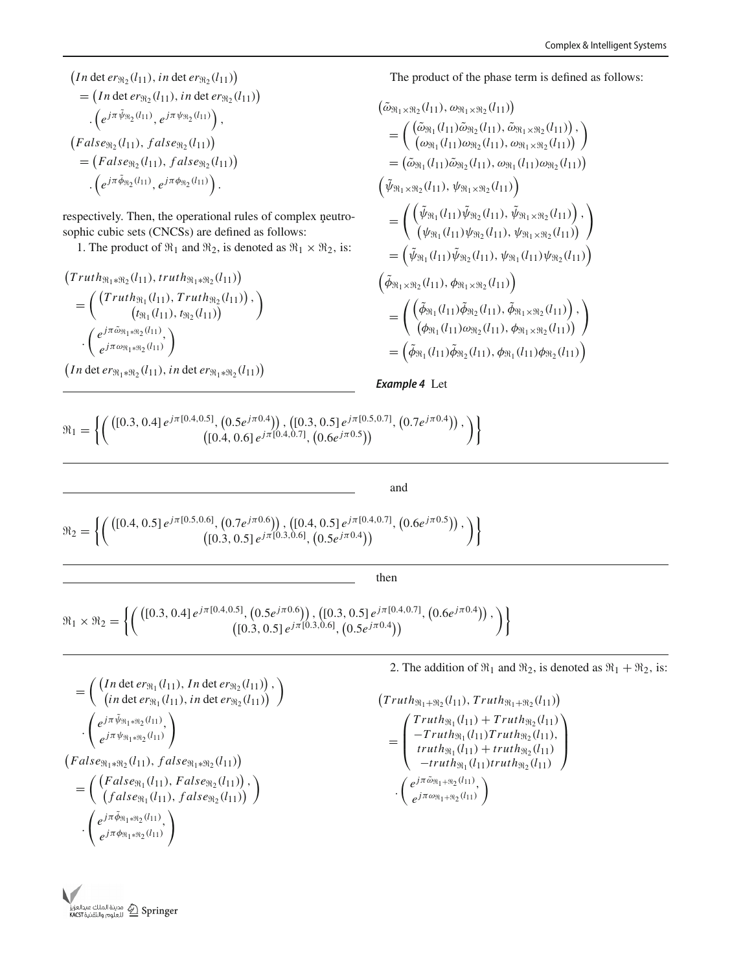$$
(In \det er_{\Re_2}(l_{11}), in \det er_{\Re_2}(l_{11}))
$$
  
= (In \det er\_{\Re\_2}(l\_{11}), in \det er\_{\Re\_2}(l\_{11}))  
. 
$$
(e^{j\pi \tilde{\psi}_{\Re_2}(l_{11})}, e^{j\pi \psi_{\Re_2}(l_{11})}),
$$
  

$$
(False_{\Re_2}(l_{11}), false_{\Re_2}(l_{11}))
$$
  
= (False\_{\Re\_2}(l\_{11}), false\_{\Re\_2}(l\_{11}))  
. 
$$
(e^{j\pi \tilde{\phi}_{\Re_2}(l_{11})}, e^{j\pi \phi_{\Re_2}(l_{11})}).
$$

respectively. Then, the operational rules of complex neutrosophic cubic sets (CNCSs) are defined as follows:

1. The product of  $\Re_1$  and  $\Re_2$ , is denoted as  $\Re_1 \times \Re_2$ , is:

$$
(Truth_{\mathfrak{R}_1 * \mathfrak{R}_2} (l_{11}), truth_{\mathfrak{R}_1 * \mathfrak{R}_2} (l_{11}))
$$
  
= 
$$
\begin{pmatrix} (Truth_{\mathfrak{R}_1} (l_{11}), Truth_{\mathfrak{R}_2} (l_{11})) \\ (t_{\mathfrak{R}_1} (l_{11}), t_{\mathfrak{R}_2} (l_{11})) \\ \vdots \\ e^{j\pi \tilde{\omega}_{\mathfrak{R}_1 * \mathfrak{R}_2} (l_{11})} \end{pmatrix}
$$

$$
\cdot \begin{pmatrix} e^{j\pi \tilde{\omega}_{\mathfrak{R}_1 * \mathfrak{R}_2} (l_{11})} \\ e^{j\pi \omega_{\mathfrak{R}_1 * \mathfrak{R}_2} (l_{11})} \end{pmatrix}
$$

 $(In \det er_{\Re_1 * \Re_2}(l_{11}), in \det er_{\Re_1 * \Re_2}(l_{11}))$ 

The product of the phase term is defined as follows:

$$
(\tilde{\omega}_{\Re_1 \times \Re_2}(l_{11}), \omega_{\Re_1 \times \Re_2}(l_{11}))
$$
\n
$$
= (\begin{pmatrix} (\tilde{\omega}_{\Re_1}(l_{11})\tilde{\omega}_{\Re_2}(l_{11}), \tilde{\omega}_{\Re_1 \times \Re_2}(l_{11})) \\ (\omega_{\Re_1}(l_{11})\omega_{\Re_2}(l_{11}), \omega_{\Re_1 \times \Re_2}(l_{11})) \end{pmatrix}
$$
\n
$$
= (\tilde{\omega}_{\Re_1}(l_{11})\tilde{\omega}_{\Re_2}(l_{11}), \omega_{\Re_1}(l_{11})\omega_{\Re_2}(l_{11}))
$$
\n
$$
(\tilde{\psi}_{\Re_1 \times \Re_2}(l_{11}), \psi_{\Re_1 \times \Re_2}(l_{11}))
$$
\n
$$
= (\begin{pmatrix} (\tilde{\psi}_{\Re_1}(l_{11})\tilde{\psi}_{\Re_2}(l_{11}), \tilde{\psi}_{\Re_1 \times \Re_2}(l_{11})) \\ (\psi_{\Re_1}(l_{11})\psi_{\Re_2}(l_{11}), \psi_{\Re_1 \times \Re_2}(l_{11})) \end{pmatrix}
$$
\n
$$
= (\tilde{\psi}_{\Re_1}(l_{11})\tilde{\psi}_{\Re_2}(l_{11}), \psi_{\Re_1}(l_{11})\psi_{\Re_2}(l_{11}))
$$
\n
$$
(\tilde{\phi}_{\Re_1 \times \Re_2}(l_{11}), \phi_{\Re_1 \times \Re_2}(l_{11}))
$$
\n
$$
= (\begin{pmatrix} (\tilde{\phi}_{\Re_1}(l_{11})\tilde{\phi}_{\Re_2}(l_{11}), \tilde{\phi}_{\Re_1 \times \Re_2}(l_{11})) \\ (\phi_{\Re_1}(l_{11})\tilde{\omega}_{\Re_2}(l_{11}), \phi_{\Re_1 \times \Re_2}(l_{11})) \end{pmatrix}
$$
\n
$$
= (\tilde{\phi}_{\Re_1}(l_{11})\tilde{\phi}_{\Re_2}(l_{11}), \phi_{\Re_1}(l_{11})\phi_{\Re_2}(l_{11}))
$$

*Example 4* Let

 $\mathfrak{m}_1 =$  $\left[ \int \left( \left[ 0.3, 0.4 \right] e^{j \pi \left[ 0.4, 0.5 \right]}, \left( 0.5 e^{j \pi 0.4} \right) \right], \left( \left[ 0.3, 0.5 \right] e^{j \pi \left[ 0.5, 0.7 \right]}, \left( 0.7 e^{j \pi 0.4} \right) \right],$  $\left\{ \begin{array}{l} (0.5e^{j\pi(0.4)}), \, \left([0.3,0.5]\,e^{j\pi(0.5,0.7]}, \, \left(0.7e^{j\pi(0.4)}\right)\right), \ \left([0.4,0.6]\,e^{j\pi(0.4,0.7]}, \, \left(0.6e^{j\pi(0.5)}\right)\right) \end{array} \right\} \, ,$ 

#### and

$$
\mathfrak{R}_2 = \left\{ \left( \begin{pmatrix} \left( [0.4, 0.5] e^{j\pi [0.5, 0.6]}, \left( 0.7 e^{j\pi 0.6} \right) \right), \left( [0.4, 0.5] e^{j\pi [0.4, 0.7]}, \left( 0.6 e^{j\pi 0.5} \right) \right), \\ \left( [0.3, 0.5] e^{j\pi [0.3, 0.6]}, \left( 0.5 e^{j\pi 0.4} \right) \right) \end{pmatrix} \right\}
$$

then

$$
\mathfrak{R}_1 \times \mathfrak{R}_2 = \left\{ \left( \begin{array}{c} \left( [0.3, 0.4] \, e^{j\pi [0.4, 0.5]}, \, \left( 0.5 e^{j\pi 0.6} \right) \right), \, \left( [0.3, 0.5] \, e^{j\pi [0.4, 0.7]}, \, \left( 0.6 e^{j\pi 0.4} \right) \right), \\ \left( [0.3, 0.5] \, e^{j\pi [0.3, 0.6]}, \, \left( 0.5 e^{j\pi 0.4} \right) \right) \end{array} \right) \right\}
$$

$$
= \left( \begin{array}{c} \left( \text{In det } er_{\Re_1}(l_{11}), \text{ In det } er_{\Re_2}(l_{11}) \right), \\ \left( \text{in det } er_{\Re_1}(l_{11}), \text{ in det } er_{\Re_2}(l_{11}) \right) \end{array} \right) \\ \cdot \left( \begin{array}{c} e^{j\pi \tilde{\psi}_{\Re_1 * \Re_2}(l_{11})} \\ e^{j\pi \psi_{\Re_1 * \Re_2}(l_{11})} \end{array} \right) \\ \left( \text{False}_{\Re_1 * \Re_2}(l_{11}), \text{False}_{\Re_1 * \Re_2}(l_{11}) \right) \\ = \left( \begin{array}{c} \left( \text{False}_{\Re_1}(l_{11}), \text{False}_{\Re_2}(l_{11}) \right), \\ \left( \text{false}_{\Re_1}(l_{11}), \text{false}_{\Re_2}(l_{11}) \right) \end{array} \right) \\ \cdot \left( \begin{array}{c} e^{j\pi \tilde{\phi}_{\Re_1 * \Re_2}(l_{11})} \\ e^{j\pi \phi_{\Re_1 * \Re_2}(l_{11})} \end{array} \right)
$$

2. The addition of  $\Re_1$  and  $\Re_2$ , is denoted as  $\Re_1 + \Re_2$ , is:

$$
(Truth_{\mathfrak{R}_1+\mathfrak{R}_2}(l_{11}), Truth_{\mathfrak{R}_1+\mathfrak{R}_2}(l_{11}))
$$
\n
$$
= \begin{pmatrix}\nTruth_{\mathfrak{R}_1}(l_{11}) + Truth_{\mathfrak{R}_2}(l_{11}) \\
-Truth_{\mathfrak{R}_1}(l_{11}) Truth_{\mathfrak{R}_2}(l_{11}), \\
truth_{\mathfrak{R}_1}(l_{11}) + truth_{\mathfrak{R}_2}(l_{11}) \\
-truth_{\mathfrak{R}_1}(l_{11}) truth_{\mathfrak{R}_2}(l_{11})\n\end{pmatrix}
$$
\n
$$
\cdot \begin{pmatrix}\ne^{j\pi\tilde{\omega}_{\mathfrak{R}_1+\mathfrak{R}_2}(l_{11})} \\
e^{j\pi\tilde{\omega}_{\mathfrak{R}_1+\mathfrak{R}_2}(l_{11})}\n\end{pmatrix}
$$

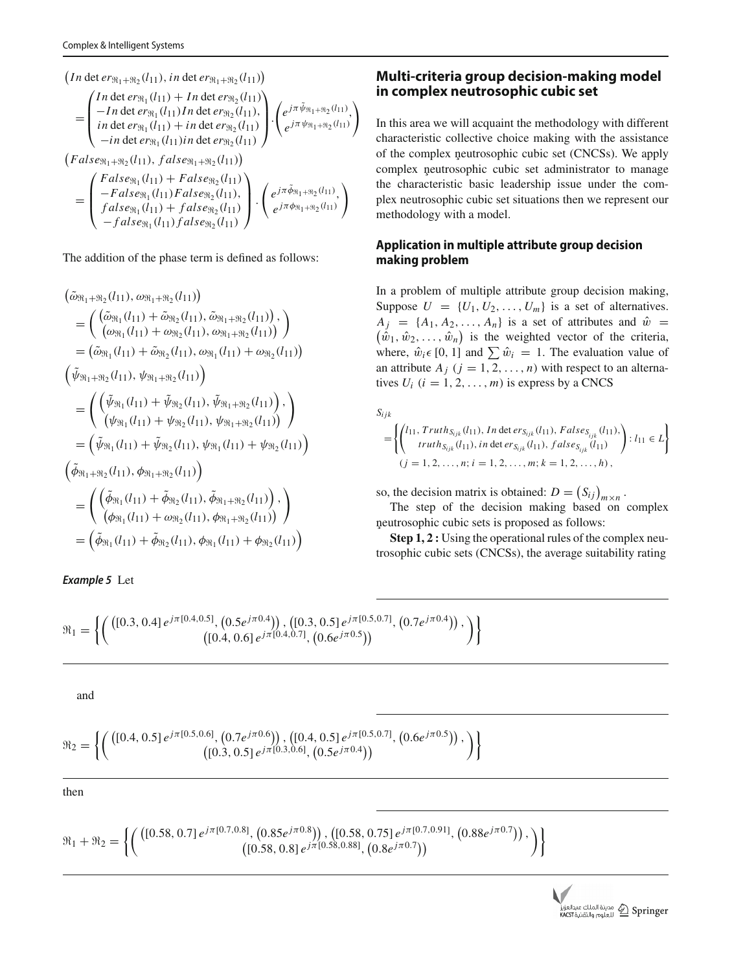$$
(In \det er_{\mathfrak{R}_1 + \mathfrak{R}_2}(l_{11}), in \det er_{\mathfrak{R}_1 + \mathfrak{R}_2}(l_{11}))
$$
\n
$$
= \begin{pmatrix}\nIn \det er_{\mathfrak{R}_1}(l_{11}) + In \det er_{\mathfrak{R}_2}(l_{11}) \\
- In \det er_{\mathfrak{R}_1}(l_{11}) + In \det er_{\mathfrak{R}_2}(l_{11}) \\
in \det er_{\mathfrak{R}_1}(l_{11}) + in \det er_{\mathfrak{R}_2}(l_{11})\n\end{pmatrix} \cdot \begin{pmatrix}\ne^{j\pi \tilde{\psi}_{\mathfrak{R}_1 + \mathfrak{R}_2}(l_{11})} \\
e^{j\pi \psi_{\mathfrak{R}_1 + \mathfrak{R}_2}(l_{11})} \\
e^{j\pi \psi_{\mathfrak{R}_1 + \mathfrak{R}_2}(l_{11})}\n\end{pmatrix}
$$
\n
$$
(False_{\mathfrak{R}_1 + \mathfrak{R}_2}(l_{11}), false_{\mathfrak{R}_1 + \mathfrak{R}_2}(l_{11})\n\end{pmatrix}
$$
\n
$$
= \begin{pmatrix}\nFalse_{\mathfrak{R}_1}(l_{11}) + False_{\mathfrak{R}_2}(l_{11}) \\
- False_{\mathfrak{R}_1}(l_{11}) + false_{\mathfrak{R}_2}(l_{11}) \\
false_{\mathfrak{R}_1}(l_{11}) + false_{\mathfrak{R}_2}(l_{11})\n\end{pmatrix} \cdot \begin{pmatrix}\ne^{j\pi \tilde{\phi}_{\mathfrak{R}_1 + \mathfrak{R}_2}(l_{11})} \\
e^{j\pi \tilde{\phi}_{\mathfrak{R}_1 + \mathfrak{R}_2}(l_{11})} \\
e^{j\pi \tilde{\phi}_{\mathfrak{R}_1 + \mathfrak{R}_2}(l_{11})}\n\end{pmatrix}
$$

The addition of the phase term is defined as follows:

 $-false_{\Re_1}(l_{11}) false_{\Re_2}(l_{11})$ 

$$
(\tilde{\omega}_{\Re_{1}+\Re_{2}}(l_{11}), \omega_{\Re_{1}+\Re_{2}}(l_{11}))
$$
\n
$$
= (\begin{pmatrix} (\tilde{\omega}_{\Re_{1}}(l_{11}) + \tilde{\omega}_{\Re_{2}}(l_{11}), \tilde{\omega}_{\Re_{1}+\Re_{2}}(l_{11})), \\ (\omega_{\Re_{1}}(l_{11}) + \omega_{\Re_{2}}(l_{11}), \omega_{\Re_{1}+\Re_{2}}(l_{11})) \end{pmatrix})
$$
\n
$$
= (\tilde{\omega}_{\Re_{1}}(l_{11}) + \tilde{\omega}_{\Re_{2}}(l_{11}), \omega_{\Re_{1}}(l_{11}) + \omega_{\Re_{2}}(l_{11}))
$$
\n
$$
(\tilde{\psi}_{\Re_{1}+\Re_{2}}(l_{11}), \psi_{\Re_{1}+\Re_{2}}(l_{11}))
$$
\n
$$
= (\begin{pmatrix} (\tilde{\psi}_{\Re_{1}}(l_{11}) + \tilde{\psi}_{\Re_{2}}(l_{11}), \tilde{\psi}_{\Re_{1}+\Re_{2}}(l_{11})) \\ (\psi_{\Re_{1}}(l_{11}) + \psi_{\Re_{2}}(l_{11}), \psi_{\Re_{1}+\Re_{2}}(l_{11})) \end{pmatrix})
$$
\n
$$
= (\tilde{\psi}_{\Re_{1}}(l_{11}) + \tilde{\psi}_{\Re_{2}}(l_{11}), \psi_{\Re_{1}}(l_{11}) + \psi_{\Re_{2}}(l_{11}) )
$$
\n
$$
= (\begin{pmatrix} (\tilde{\phi}_{\Re_{1}}(l_{11}) + \tilde{\phi}_{\Re_{2}}(l_{11}), \tilde{\phi}_{\Re_{1}+\Re_{2}}(l_{11})) \\ (\phi_{\Re_{1}}(l_{11}) + \tilde{\phi}_{\Re_{2}}(l_{11}), \tilde{\phi}_{\Re_{1}+\Re_{2}}(l_{11})) \end{pmatrix})
$$
\n
$$
= (\tilde{\phi}_{\Re_{1}}(l_{11}) + \tilde{\phi}_{\Re_{2}}(l_{11}), \phi_{\Re_{1}+\Re_{2}}(l_{11}))
$$
\n
$$
= (\tilde{\phi}_{\Re_{1}}(l_{11}) + \tilde{\phi}_{\Re_{2}}(l_{11}), \phi_{\Re_{1}+\Re_{
$$

*Example 5* Let

# **Multi-criteria group decision-making model in complex neutrosophic cubic set**

In this area we will acquaint the methodology with different characteristic collective choice making with the assistance of the complex neutrosophic cubic set (CNCSs). We apply complex neutrosophic cubic set administrator to manage the characteristic basic leadership issue under the complex neutrosophic cubic set situations then we represent our methodology with a model.

# <span id="page-8-0"></span>**Application in multiple attribute group decision making problem**

In a problem of multiple attribute group decision making, Suppose  $U = \{U_1, U_2, \dots, U_m\}$  is a set of alternatives.<br>  $A_i = \{A_1, A_2, \dots, A_n\}$  is a set of attributes and  $\hat{w}$  $A_j = \{A_1, A_2, \dots, A_n\}$  is a set of attributes and  $\hat{w} = (\hat{w}_1, \hat{w}_2, \dots, \hat{w}_n)$  is the weighted vector of the criteria, where,  $\hat{w}_i \in [0, 1]$  and  $\sum \hat{w}_i = 1$ . The evaluation value of an attribute  $A_j$  ( $j = 1, 2, ..., n$ ) with respect to an alternatives  $U_i$  ( $i = 1, 2, ..., m$ ) is express by a CNCS

*Sijk*

$$
= \left\{ \begin{pmatrix} l_{11}, Truth_{S_{ijk}}(l_{11}), In \det ers_{ijk}(l_{11}), False_{S_{ijk}}(l_{11}), \\ truth_{S_{ijk}}(l_{11}), in \det ers_{ijk}(l_{11}), false_{S_{ijk}}(l_{11}) \end{pmatrix} : l_{11} \in L \right\}
$$
  
(j = 1, 2, ..., n; i = 1, 2, ..., m; k = 1, 2, ..., h),

so, the decision matrix is obtained:  $D = (S_{ij})_{m \times n}$ .

The step of the decision making based on complex neutrosophic cubic sets is proposed as follows:

**Step 1, 2 :** Using the operational rules of the complex neutrosophic cubic sets (CNCSs), the average suitability rating

$$
\mathfrak{R}_1 = \left\{ \left( \begin{matrix} ([0.3, 0.4] \, e^{j\pi [0.4, 0.5]}, (0.5 e^{j\pi 0.4}) ), ([0.3, 0.5] \, e^{j\pi [0.5, 0.7]}, (0.7 e^{j\pi 0.4}) ), \\ ([0.4, 0.6] \, e^{j\pi [0.4, 0.7]}, (0.6 e^{j\pi 0.5}) ) \end{matrix} \right) \right\}
$$

and

$$
\mathfrak{R}_2 = \left\{ \left( \begin{pmatrix} \left( [0.4, 0.5] e^{j\pi [0.5, 0.6]}, \left( 0.7 e^{j\pi 0.6} \right) \right), \left( [0.4, 0.5] e^{j\pi [0.5, 0.7]}, \left( 0.6 e^{j\pi 0.5} \right) \right), \\ \left( [0.3, 0.5] e^{j\pi [0.3, 0.6]}, \left( 0.5 e^{j\pi 0.4} \right) \right) \end{pmatrix} \right\}
$$

then

$$
\mathfrak{R}_1 + \mathfrak{R}_2 = \left\{ \left( \begin{array}{c} \left( [0.58, 0.7] e^{j\pi [0.7, 0.8]}, (0.85 e^{j\pi 0.8}), ( [0.58, 0.75] e^{j\pi [0.7, 0.91]}, (0.88 e^{j\pi 0.7}) \right), \\ ( [0.58, 0.8] e^{j\pi [0.58, 0.88]}, (0.8 e^{j\pi 0.7}) \right) \end{array} \right\}
$$

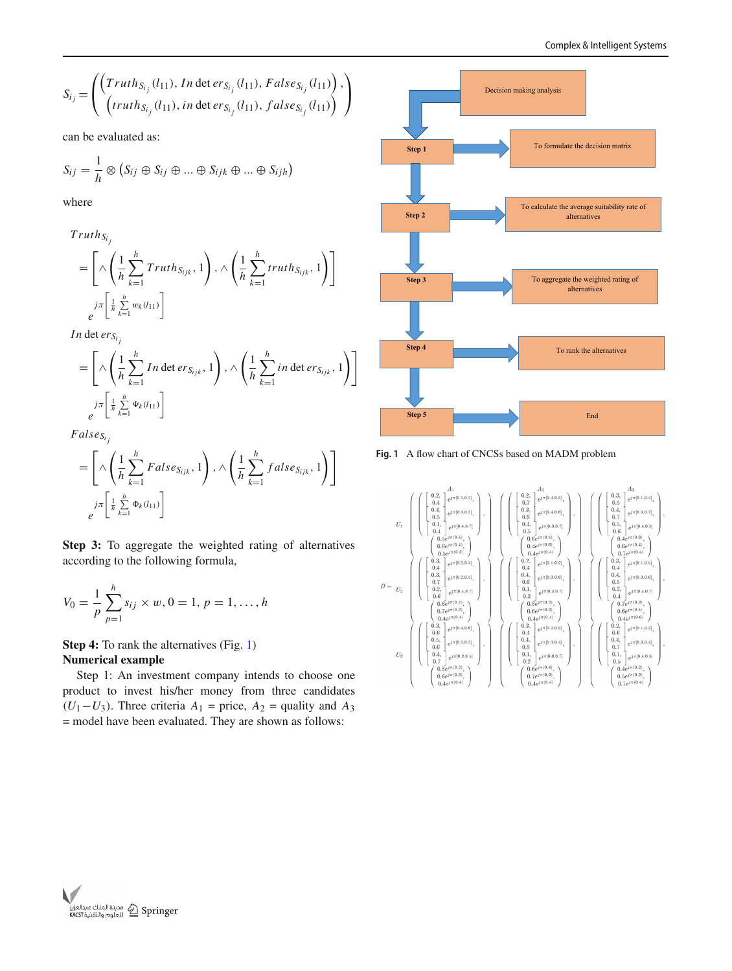$$
S_{i_j} = \left( \begin{pmatrix} Truth_{S_{i_j}}(l_{11}), In \det ers_{i_j}(l_{11}), False_{S_{i_j}}(l_{11}) \\ (truth_{S_{i_j}}(l_{11}), in \det ers_{i_j}(l_{11}), false_{S_{i_j}}(l_{11}) \end{pmatrix}, \right)
$$

can be evaluated as:

$$
S_{ij} = \frac{1}{h} \otimes (S_{ij} \oplus S_{ij} \oplus ... \oplus S_{ijk} \oplus ... \oplus S_{ijh})
$$

where

$$
Truth_{S_{i_j}}
$$
\n
$$
= \left[ \wedge \left( \frac{1}{h} \sum_{k=1}^{h} Truth_{S_{ijk}}, 1 \right), \wedge \left( \frac{1}{h} \sum_{k=1}^{h} truth_{S_{ijk}}, 1 \right) \right]
$$
\n
$$
e^{j\pi \left[ \frac{1}{h} \sum_{k=1}^{h} w_k(l_{11}) \right]}
$$

*In* det  $er_{S_i}$ 

$$
= \left[ \wedge \left( \frac{1}{h} \sum_{k=1}^{h} In \det erg_{ijk}, 1 \right), \wedge \left( \frac{1}{h} \sum_{k=1}^{h} in \det erg_{ijk}, 1 \right) \right]
$$
  

$$
e^{j\pi \left[ \frac{1}{h} \sum_{k=1}^{h} \Psi_k(l_{11}) \right]}
$$

 $False_{S_i}$ 

$$
= \left[ \wedge \left( \frac{1}{h} \sum_{k=1}^{h} False_{S_{ijk}}, 1 \right), \wedge \left( \frac{1}{h} \sum_{k=1}^{h} false_{S_{ijk}}, 1 \right) \right]
$$
  

$$
e^{\int \frac{1}{h} \sum_{k=1}^{h} \Phi_{k}(l_{11})} \right]
$$

**Step 3:** To aggregate the weighted rating of alternatives according to the following formula,

$$
V_0 = \frac{1}{p} \sum_{p=1}^h s_{ij} \times w, 0 = 1, p = 1, ..., h
$$

**Step 4:** To rank the alternatives (Fig. [1\)](#page-9-0) **Numerical example**

Step 1: An investment company intends to choose one product to invest his/her money from three candidates  $(U_1-U_3)$ . Three criteria  $A_1$  = price,  $A_2$  = quality and  $A_3$ = model have been evaluated. They are shown as follows:



<span id="page-9-0"></span>**Fig. 1** A flow chart of CNCSs based on MADM problem



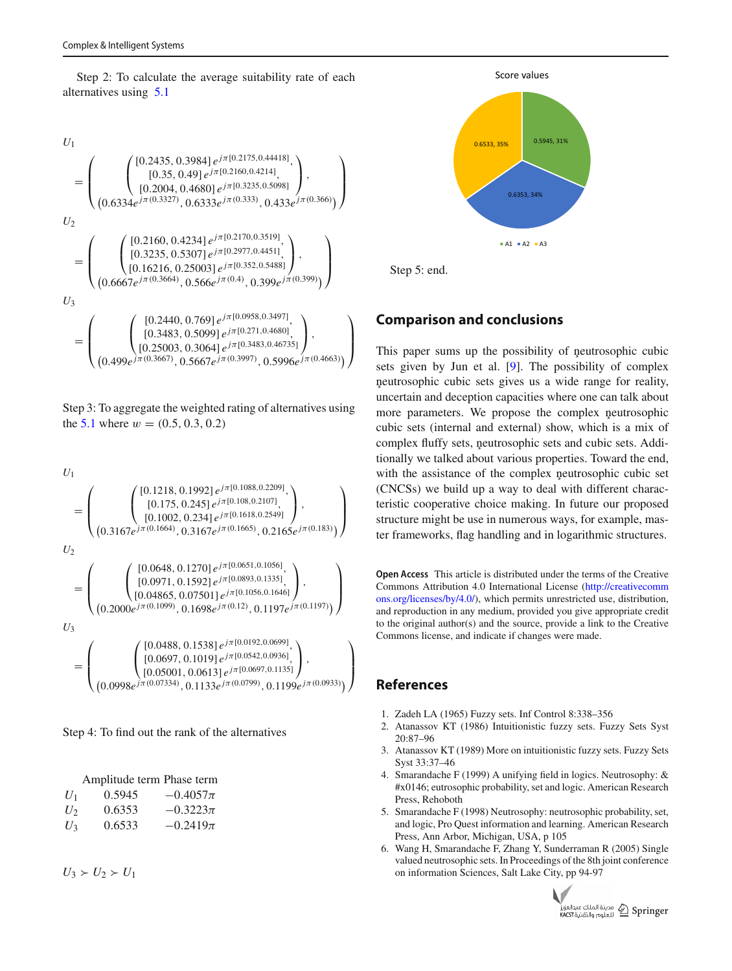Step 2: To calculate the average suitability rate of each alternatives using [5.1](#page-8-0)

$$
U_{1}
$$
\n
$$
= \begin{pmatrix}\n\begin{pmatrix}\n[0.2435, 0.3984] e^{j\pi[0.2175, 0.44418]}, \\
[0.35, 0.49] e^{j\pi[0.2160, 0.4214]}, \\
[0.2004, 0.4680] e^{j\pi[0.3235, 0.5098]}\n\end{pmatrix}, \\
U_{2}
$$
\n
$$
= \begin{pmatrix}\n\begin{pmatrix}\n[0.2160, 0.4234] e^{j\pi[0.2170, 0.333)}, 0.433 e^{j\pi(0.366)}\n\end{pmatrix}\n\end{pmatrix}
$$
\n
$$
= \begin{pmatrix}\n\begin{pmatrix}\n[0.2160, 0.4234] e^{j\pi[0.2170, 0.3519]}, \\
[0.3235, 0.5307] e^{j\pi[0.2977, 0.4451]}, \\
[0.16216, 0.25003] e^{j\pi[0.352, 0.5488]}\n\end{pmatrix}, \\
U_{3}
$$
\n
$$
= \begin{pmatrix}\n\begin{pmatrix}\n[0.2440, 0.769] e^{j\pi[0.0958, 0.3497]}, \\
[0.3483, 0.5099] e^{j\pi[0.271, 0.4680]}, \\
[0.25003, 0.3064] e^{j\pi[0.2483, 0.46735]}\n\end{pmatrix}, \\
(0.499e^{j\pi(0.3667)}, 0.5667e^{j\pi(0.3997)}, 0.5996e^{j\pi(0.4663)})\n\end{pmatrix}\n\end{pmatrix}
$$

Step 3: To aggregate the weighted rating of alternatives using the [5.1](#page-8-0) where  $w = (0.5, 0.3, 0.2)$ 

$$
U_{1}
$$
\n
$$
= \begin{pmatrix}\n[0.1218, 0.1992] e^{j\pi[0.1088, 0.2209]}, \\
[0.175, 0.245] e^{j\pi[0.108, 0.2107]}, \\
[0.1002, 0.234] e^{j\pi[0.1618, 0.2549]} \end{pmatrix},
$$
\n
$$
U_{2}
$$
\n
$$
= \begin{pmatrix}\n[0.0648, 0.1270] e^{j\pi[0.0651, 0.1056]}, 0.2165 e^{j\pi(0.183)}]\n[0.04865, 0.07501] e^{j\pi[0.0651, 0.1056]}, \\
[0.04865, 0.07501] e^{j\pi[0.1056, 0.1646]}\n\end{pmatrix},
$$
\n
$$
U_{3}
$$
\n
$$
= \begin{pmatrix}\n[0.0488, 0.1538] e^{j\pi[0.0122, 0.0699]}, \\
[0.0697, 0.1019] e^{j\pi[0.0192, 0.0699]}, \\
[0.05001, 0.0613] e^{j\pi[0.0542, 0.0936]}, \\
[0.05001, 0.0613] e^{j\pi[0.0697, 0.1135]}\n\end{pmatrix},
$$
\n
$$
(0.0998 e^{j\pi(0.07334)}, 0.1133 e^{j\pi(0.0799)}, 0.1199 e^{j\pi(0.0933)}\n\end{pmatrix}
$$

Step 4: To find out the rank of the alternatives

|       | Amplitude term Phase term |              |
|-------|---------------------------|--------------|
| $U_1$ | 0.5945                    | $-0.4057\pi$ |
| $U_2$ | 0.6353                    | $-0.3223\pi$ |
| $U_3$ | 0.6533                    | $-0.2419\pi$ |

 $U_3 \succ U_2 \succ U_1$ 



Step 5: end.

# **Comparison and conclusions**

This paper sums up the possibility of neutrosophic cubic sets given by Jun et al. [\[9](#page-11-2)]. The possibility of complex neutrosophic cubic sets gives us a wide range for reality, uncertain and deception capacities where one can talk about more parameters. We propose the complex neutrosophic cubic sets (internal and external) show, which is a mix of complex fluffy sets, neutrosophic sets and cubic sets. Additionally we talked about various properties. Toward the end, with the assistance of the complex neutrosophic cubic set (CNCSs) we build up a way to deal with different characteristic cooperative choice making. In future our proposed structure might be use in numerous ways, for example, master frameworks, flag handling and in logarithmic structures.

**Open Access** This article is distributed under the terms of the Creative Commons Attribution 4.0 International License [\(http://creativecomm](http://creativecommons.org/licenses/by/4.0/) [ons.org/licenses/by/4.0/\)](http://creativecommons.org/licenses/by/4.0/), which permits unrestricted use, distribution, and reproduction in any medium, provided you give appropriate credit to the original author(s) and the source, provide a link to the Creative Commons license, and indicate if changes were made.

## **References**

- <span id="page-10-0"></span>1. Zadeh LA (1965) Fuzzy sets. Inf Control 8:338–356
- <span id="page-10-1"></span>2. Atanassov KT (1986) Intuitionistic fuzzy sets. Fuzzy Sets Syst 20:87–96
- <span id="page-10-2"></span>3. Atanassov KT (1989) More on intuitionistic fuzzy sets. Fuzzy Sets Syst 33:37–46
- <span id="page-10-3"></span>4. Smarandache F (1999) A unifying field in logics. Neutrosophy: & #x0146; eutrosophic probability, set and logic. American Research Press, Rehoboth
- <span id="page-10-5"></span>5. Smarandache F (1998) Neutrosophy: neutrosophic probability, set, and logic, Pro Quest information and learning. American Research Press, Ann Arbor, Michigan, USA, p 105
- <span id="page-10-4"></span>6. Wang H, Smarandache F, Zhang Y, Sunderraman R (2005) Single valued neutrosophic sets. In Proceedings of the 8th joint conference on information Sciences, Salt Lake City, pp 94-97